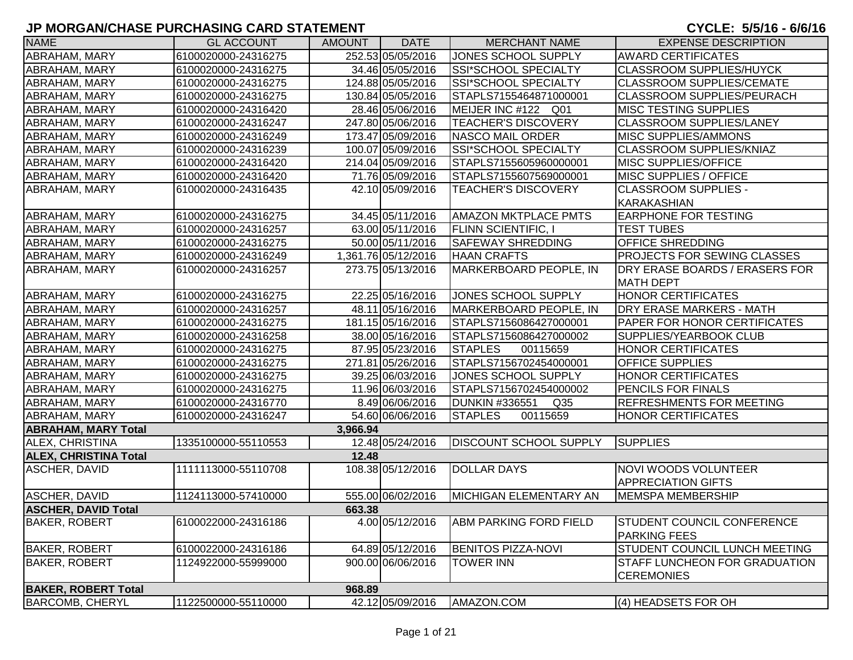| <b>NAME</b>                  | <b>GL ACCOUNT</b>   | <b>AMOUNT</b> | <b>DATE</b>         | <b>MERCHANT NAME</b>                     | <b>EXPENSE DESCRIPTION</b>                                |
|------------------------------|---------------------|---------------|---------------------|------------------------------------------|-----------------------------------------------------------|
| ABRAHAM, MARY                | 6100020000-24316275 |               | 252.53 05/05/2016   | JONES SCHOOL SUPPLY                      | <b>AWARD CERTIFICATES</b>                                 |
| ABRAHAM, MARY                | 6100020000-24316275 |               | 34.46 05/05/2016    | <b>SSI*SCHOOL SPECIALTY</b>              | <b>CLASSROOM SUPPLIES/HUYCK</b>                           |
| <b>ABRAHAM, MARY</b>         | 6100020000-24316275 |               | 124.88 05/05/2016   | SSI*SCHOOL SPECIALTY                     | <b>CLASSROOM SUPPLIES/CEMATE</b>                          |
| ABRAHAM, MARY                | 6100020000-24316275 |               | 130.84 05/05/2016   | STAPLS7155464871000001                   | <b>CLASSROOM SUPPLIES/PEURACH</b>                         |
| ABRAHAM, MARY                | 6100020000-24316420 |               | 28.46 05/06/2016    | MEIJER INC #122 Q01                      | <b>MISC TESTING SUPPLIES</b>                              |
| ABRAHAM, MARY                | 6100020000-24316247 |               | 247.80 05/06/2016   | <b>TEACHER'S DISCOVERY</b>               | <b>CLASSROOM SUPPLIES/LANEY</b>                           |
| ABRAHAM, MARY                | 6100020000-24316249 |               | 173.47 05/09/2016   | <b>NASCO MAIL ORDER</b>                  | <b>MISC SUPPLIES/AMMONS</b>                               |
| ABRAHAM, MARY                | 6100020000-24316239 |               | 100.07 05/09/2016   | SSI*SCHOOL SPECIALTY                     | <b>CLASSROOM SUPPLIES/KNIAZ</b>                           |
| ABRAHAM, MARY                | 6100020000-24316420 |               | 214.04 05/09/2016   | STAPLS7155605960000001                   | <b>MISC SUPPLIES/OFFICE</b>                               |
| ABRAHAM, MARY                | 6100020000-24316420 |               | 71.76 05/09/2016    | STAPLS7155607569000001                   | <b>MISC SUPPLIES / OFFICE</b>                             |
| ABRAHAM, MARY                | 6100020000-24316435 |               | 42.10 05/09/2016    | <b>TEACHER'S DISCOVERY</b>               | <b>CLASSROOM SUPPLIES -</b>                               |
|                              |                     |               |                     |                                          | KARAKASHIAN                                               |
| ABRAHAM, MARY                | 6100020000-24316275 |               | 34.45 05/11/2016    | <b>AMAZON MKTPLACE PMTS</b>              | <b>EARPHONE FOR TESTING</b>                               |
| ABRAHAM, MARY                | 6100020000-24316257 |               | 63.00 05/11/2016    | <b>FLINN SCIENTIFIC, I</b>               | <b>TEST TUBES</b>                                         |
| ABRAHAM, MARY                | 6100020000-24316275 |               | 50.00 05/11/2016    | <b>SAFEWAY SHREDDING</b>                 | <b>OFFICE SHREDDING</b>                                   |
| ABRAHAM, MARY                | 6100020000-24316249 |               | 1,361.76 05/12/2016 | <b>HAAN CRAFTS</b>                       | <b>PROJECTS FOR SEWING CLASSES</b>                        |
| ABRAHAM, MARY                | 6100020000-24316257 |               | 273.75 05/13/2016   | MARKERBOARD PEOPLE, IN                   | DRY ERASE BOARDS / ERASERS FOR                            |
|                              |                     |               |                     |                                          | <b>MATH DEPT</b>                                          |
| <b>ABRAHAM, MARY</b>         | 6100020000-24316275 |               | 22.25 05/16/2016    | JONES SCHOOL SUPPLY                      | <b>HONOR CERTIFICATES</b>                                 |
| ABRAHAM, MARY                | 6100020000-24316257 |               | 48.11 05/16/2016    | MARKERBOARD PEOPLE, IN                   | <b>DRY ERASE MARKERS - MATH</b>                           |
| ABRAHAM, MARY                | 6100020000-24316275 |               | 181.15 05/16/2016   | STAPLS7156086427000001                   | <b>PAPER FOR HONOR CERTIFICATES</b>                       |
| ABRAHAM, MARY                | 6100020000-24316258 |               | 38.00 05/16/2016    | STAPLS7156086427000002                   | <b>SUPPLIES/YEARBOOK CLUB</b>                             |
| ABRAHAM, MARY                | 6100020000-24316275 |               | 87.95 05/23/2016    | <b>STAPLES</b><br>00115659               | <b>HONOR CERTIFICATES</b>                                 |
| ABRAHAM, MARY                | 6100020000-24316275 |               | 271.81 05/26/2016   | STAPLS7156702454000001                   | <b>OFFICE SUPPLIES</b>                                    |
| ABRAHAM, MARY                | 6100020000-24316275 |               | 39.25 06/03/2016    | JONES SCHOOL SUPPLY                      | <b>HONOR CERTIFICATES</b>                                 |
| <b>ABRAHAM, MARY</b>         | 6100020000-24316275 |               | 11.96 06/03/2016    | STAPLS7156702454000002                   | PENCILS FOR FINALS                                        |
| ABRAHAM, MARY                | 6100020000-24316770 |               | 8.49 06/06/2016     | <b>DUNKIN #336551</b><br>Q <sub>35</sub> | <b>REFRESHMENTS FOR MEETING</b>                           |
| ABRAHAM, MARY                | 6100020000-24316247 |               | 54.60 06/06/2016    | <b>STAPLES</b><br>00115659               | <b>HONOR CERTIFICATES</b>                                 |
| <b>ABRAHAM, MARY Total</b>   |                     | 3,966.94      |                     |                                          |                                                           |
| ALEX, CHRISTINA              | 1335100000-55110553 |               | 12.48 05/24/2016    | <b>DISCOUNT SCHOOL SUPPLY</b>            | SUPPLIES                                                  |
| <b>ALEX, CHRISTINA Total</b> |                     | 12.48         |                     |                                          |                                                           |
| ASCHER, DAVID                | 1111113000-55110708 |               | 108.38 05/12/2016   | <b>DOLLAR DAYS</b>                       | <b>NOVI WOODS VOLUNTEER</b>                               |
|                              |                     |               |                     |                                          | <b>APPRECIATION GIFTS</b>                                 |
| ASCHER, DAVID                | 1124113000-57410000 |               | 555.00 06/02/2016   | MICHIGAN ELEMENTARY AN                   | <b>MEMSPA MEMBERSHIP</b>                                  |
| <b>ASCHER, DAVID Total</b>   |                     | 663.38        |                     |                                          |                                                           |
| <b>BAKER, ROBERT</b>         | 6100022000-24316186 |               | 4.00 05/12/2016     | <b>ABM PARKING FORD FIELD</b>            | <b>STUDENT COUNCIL CONFERENCE</b><br><b>PARKING FEES</b>  |
| <b>BAKER, ROBERT</b>         | 6100022000-24316186 |               | 64.89 05/12/2016    | <b>BENITOS PIZZA-NOVI</b>                | <b>STUDENT COUNCIL LUNCH MEETING</b>                      |
| <b>BAKER, ROBERT</b>         | 1124922000-55999000 |               | 900.00 06/06/2016   | <b>TOWER INN</b>                         | <b>STAFF LUNCHEON FOR GRADUATION</b><br><b>CEREMONIES</b> |
| <b>BAKER, ROBERT Total</b>   |                     | 968.89        |                     |                                          |                                                           |
| <b>BARCOMB, CHERYL</b>       | 1122500000-55110000 |               | 42.12 05/09/2016    | AMAZON.COM                               | (4) HEADSETS FOR OH                                       |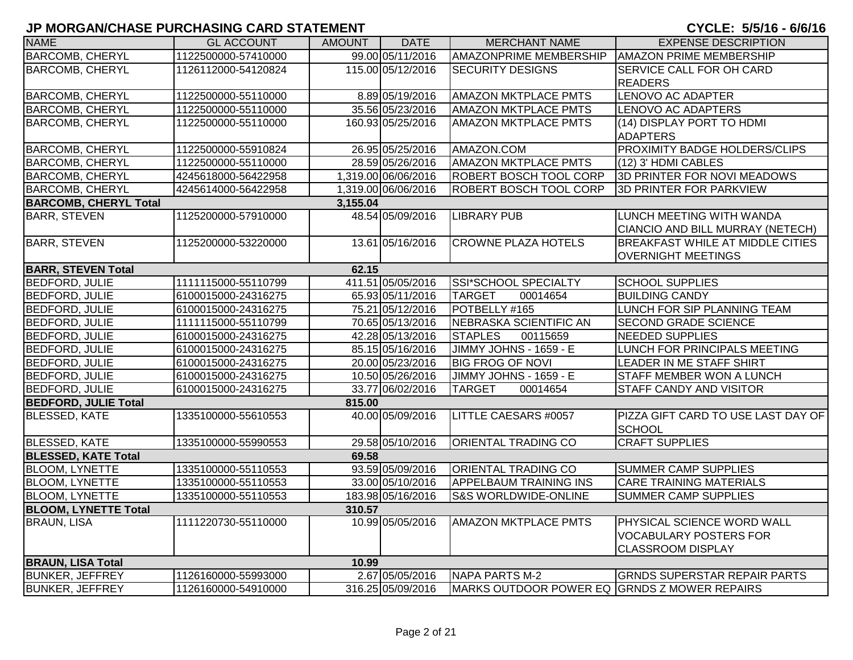| <b>NAME</b>                  | <b>GL ACCOUNT</b>   | <b>AMOUNT</b> | <b>DATE</b>         | <b>MERCHANT NAME</b>                         | <b>EXPENSE DESCRIPTION</b>                          |
|------------------------------|---------------------|---------------|---------------------|----------------------------------------------|-----------------------------------------------------|
| <b>BARCOMB, CHERYL</b>       | 1122500000-57410000 |               | 99.00 05/11/2016    | <b>AMAZONPRIME MEMBERSHIP</b>                | <b>AMAZON PRIME MEMBERSHIP</b>                      |
| <b>BARCOMB, CHERYL</b>       | 1126112000-54120824 |               | 115.00 05/12/2016   | <b>SECURITY DESIGNS</b>                      | SERVICE CALL FOR OH CARD                            |
|                              |                     |               |                     |                                              | <b>READERS</b>                                      |
| <b>BARCOMB, CHERYL</b>       | 1122500000-55110000 |               | 8.89 05/19/2016     | <b>AMAZON MKTPLACE PMTS</b>                  | <b>LENOVO AC ADAPTER</b>                            |
| <b>BARCOMB, CHERYL</b>       | 1122500000-55110000 |               | 35.56 05/23/2016    | <b>AMAZON MKTPLACE PMTS</b>                  | <b>LENOVO AC ADAPTERS</b>                           |
| <b>BARCOMB, CHERYL</b>       | 1122500000-55110000 |               | 160.93 05/25/2016   | <b>AMAZON MKTPLACE PMTS</b>                  | (14) DISPLAY PORT TO HDMI                           |
|                              |                     |               |                     |                                              | <b>ADAPTERS</b>                                     |
| <b>BARCOMB, CHERYL</b>       | 1122500000-55910824 |               | 26.95 05/25/2016    | AMAZON.COM                                   | PROXIMITY BADGE HOLDERS/CLIPS                       |
| <b>BARCOMB, CHERYL</b>       | 1122500000-55110000 |               | 28.59 05/26/2016    | <b>AMAZON MKTPLACE PMTS</b>                  | (12) 3' HDMI CABLES                                 |
| <b>BARCOMB, CHERYL</b>       | 4245618000-56422958 |               | 1,319.00 06/06/2016 | ROBERT BOSCH TOOL CORP                       | 3D PRINTER FOR NOVI MEADOWS                         |
| <b>BARCOMB, CHERYL</b>       | 4245614000-56422958 |               | 1,319.00 06/06/2016 | <b>ROBERT BOSCH TOOL CORP</b>                | 3D PRINTER FOR PARKVIEW                             |
| <b>BARCOMB, CHERYL Total</b> |                     | 3,155.04      |                     |                                              |                                                     |
| <b>BARR, STEVEN</b>          | 1125200000-57910000 |               | 48.54 05/09/2016    | <b>LIBRARY PUB</b>                           | LUNCH MEETING WITH WANDA                            |
|                              |                     |               |                     |                                              | CIANCIO AND BILL MURRAY (NETECH)                    |
| <b>BARR, STEVEN</b>          | 1125200000-53220000 |               | 13.61 05/16/2016    | <b>CROWNE PLAZA HOTELS</b>                   | <b>BREAKFAST WHILE AT MIDDLE CITIES</b>             |
|                              |                     |               |                     |                                              | <b>OVERNIGHT MEETINGS</b>                           |
| <b>BARR, STEVEN Total</b>    |                     | 62.15         |                     |                                              |                                                     |
| <b>BEDFORD, JULIE</b>        | 1111115000-55110799 |               | 411.51 05/05/2016   | SSI*SCHOOL SPECIALTY                         | <b>SCHOOL SUPPLIES</b>                              |
| <b>BEDFORD, JULIE</b>        | 6100015000-24316275 |               | 65.93 05/11/2016    | <b>TARGET</b><br>00014654                    | <b>BUILDING CANDY</b>                               |
| <b>BEDFORD, JULIE</b>        | 6100015000-24316275 |               | 75.21 05/12/2016    | POTBELLY #165                                | LUNCH FOR SIP PLANNING TEAM                         |
| <b>BEDFORD, JULIE</b>        | 1111115000-55110799 |               | 70.65 05/13/2016    | NEBRASKA SCIENTIFIC AN                       | <b>SECOND GRADE SCIENCE</b>                         |
| <b>BEDFORD, JULIE</b>        | 6100015000-24316275 |               | 42.28 05/13/2016    | <b>STAPLES</b><br>00115659                   | NEEDED SUPPLIES                                     |
| <b>BEDFORD, JULIE</b>        | 6100015000-24316275 |               | 85.15 05/16/2016    | JIMMY JOHNS - 1659 - E                       | LUNCH FOR PRINCIPALS MEETING                        |
| <b>BEDFORD, JULIE</b>        | 6100015000-24316275 |               | 20.00 05/23/2016    | <b>BIG FROG OF NOVI</b>                      | LEADER IN ME STAFF SHIRT                            |
| <b>BEDFORD, JULIE</b>        | 6100015000-24316275 |               | 10.50 05/26/2016    | JIMMY JOHNS - 1659 - E                       | STAFF MEMBER WON A LUNCH                            |
| <b>BEDFORD, JULIE</b>        | 6100015000-24316275 |               | 33.77 06/02/2016    | <b>TARGET</b><br>00014654                    | STAFF CANDY AND VISITOR                             |
| <b>BEDFORD, JULIE Total</b>  |                     | 815.00        |                     |                                              |                                                     |
| <b>BLESSED, KATE</b>         | 1335100000-55610553 |               | 40.00 05/09/2016    | LITTLE CAESARS #0057                         | PIZZA GIFT CARD TO USE LAST DAY OF<br><b>SCHOOL</b> |
| <b>BLESSED, KATE</b>         | 1335100000-55990553 |               | 29.58 05/10/2016    | <b>ORIENTAL TRADING CO</b>                   | <b>CRAFT SUPPLIES</b>                               |
| <b>BLESSED, KATE Total</b>   |                     | 69.58         |                     |                                              |                                                     |
| <b>BLOOM, LYNETTE</b>        | 1335100000-55110553 |               | 93.59 05/09/2016    | <b>ORIENTAL TRADING CO</b>                   | <b>SUMMER CAMP SUPPLIES</b>                         |
| <b>BLOOM, LYNETTE</b>        | 1335100000-55110553 |               | 33.00 05/10/2016    | <b>APPELBAUM TRAINING INS</b>                | <b>CARE TRAINING MATERIALS</b>                      |
| <b>BLOOM, LYNETTE</b>        | 1335100000-55110553 |               | 183.98 05/16/2016   | <b>S&amp;S WORLDWIDE-ONLINE</b>              | <b>SUMMER CAMP SUPPLIES</b>                         |
| <b>BLOOM, LYNETTE Total</b>  |                     | 310.57        |                     |                                              |                                                     |
| <b>BRAUN, LISA</b>           | 1111220730-55110000 |               | 10.99 05/05/2016    | <b>AMAZON MKTPLACE PMTS</b>                  | PHYSICAL SCIENCE WORD WALL                          |
|                              |                     |               |                     |                                              | <b>VOCABULARY POSTERS FOR</b>                       |
|                              |                     |               |                     |                                              | <b>CLASSROOM DISPLAY</b>                            |
| <b>BRAUN, LISA Total</b>     |                     | 10.99         |                     |                                              |                                                     |
| <b>BUNKER, JEFFREY</b>       | 1126160000-55993000 |               | 2.67 05/05/2016     | NAPA PARTS M-2                               | <b>GRNDS SUPERSTAR REPAIR PARTS</b>                 |
|                              |                     |               |                     |                                              |                                                     |
| <b>BUNKER, JEFFREY</b>       | 1126160000-54910000 |               | 316.25 05/09/2016   | MARKS OUTDOOR POWER EQ GRNDS Z MOWER REPAIRS |                                                     |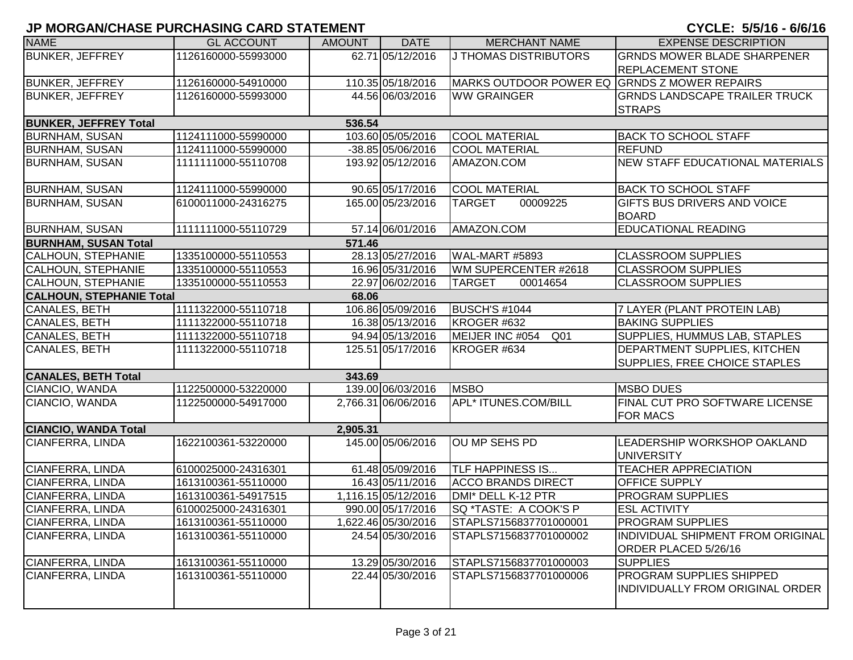| <b>NAME</b>                     | <b>GL ACCOUNT</b>   | <b>AMOUNT</b> | <b>DATE</b>         | <b>MERCHANT NAME</b>                         | <b>EXPENSE DESCRIPTION</b>                                                 |
|---------------------------------|---------------------|---------------|---------------------|----------------------------------------------|----------------------------------------------------------------------------|
| <b>BUNKER, JEFFREY</b>          | 1126160000-55993000 |               | 62.71 05/12/2016    | J THOMAS DISTRIBUTORS                        | <b>GRNDS MOWER BLADE SHARPENER</b>                                         |
|                                 |                     |               |                     |                                              | <b>REPLACEMENT STONE</b>                                                   |
| <b>BUNKER, JEFFREY</b>          | 1126160000-54910000 |               | 110.35 05/18/2016   | MARKS OUTDOOR POWER EQ GRNDS Z MOWER REPAIRS |                                                                            |
| <b>BUNKER, JEFFREY</b>          | 1126160000-55993000 |               | 44.56 06/03/2016    | <b>WW GRAINGER</b>                           | <b>GRNDS LANDSCAPE TRAILER TRUCK</b>                                       |
|                                 |                     |               |                     |                                              | <b>STRAPS</b>                                                              |
| <b>BUNKER, JEFFREY Total</b>    |                     | 536.54        |                     |                                              |                                                                            |
| <b>BURNHAM, SUSAN</b>           | 1124111000-55990000 |               | 103.60 05/05/2016   | <b>COOL MATERIAL</b>                         | <b>BACK TO SCHOOL STAFF</b>                                                |
| <b>BURNHAM, SUSAN</b>           | 1124111000-55990000 |               | $-38.85$ 05/06/2016 | <b>COOL MATERIAL</b>                         | <b>REFUND</b>                                                              |
| <b>BURNHAM, SUSAN</b>           | 1111111000-55110708 |               | 193.92 05/12/2016   | AMAZON.COM                                   | NEW STAFF EDUCATIONAL MATERIALS                                            |
| <b>BURNHAM, SUSAN</b>           | 1124111000-55990000 |               | 90.65 05/17/2016    | <b>COOL MATERIAL</b>                         | <b>BACK TO SCHOOL STAFF</b>                                                |
| <b>BURNHAM, SUSAN</b>           | 6100011000-24316275 |               | 165.00 05/23/2016   | 00009225<br><b>TARGET</b>                    | GIFTS BUS DRIVERS AND VOICE<br><b>BOARD</b>                                |
| <b>BURNHAM, SUSAN</b>           | 1111111000-55110729 |               | 57.14 06/01/2016    | AMAZON.COM                                   | <b>EDUCATIONAL READING</b>                                                 |
| <b>BURNHAM, SUSAN Total</b>     |                     | 571.46        |                     |                                              |                                                                            |
| <b>CALHOUN, STEPHANIE</b>       | 1335100000-55110553 |               | 28.13 05/27/2016    | <b>WAL-MART #5893</b>                        | <b>CLASSROOM SUPPLIES</b>                                                  |
| <b>CALHOUN, STEPHANIE</b>       | 1335100000-55110553 |               | 16.96 05/31/2016    | WM SUPERCENTER #2618                         | <b>CLASSROOM SUPPLIES</b>                                                  |
| <b>CALHOUN, STEPHANIE</b>       | 1335100000-55110553 |               | 22.97 06/02/2016    | <b>TARGET</b><br>00014654                    | <b>CLASSROOM SUPPLIES</b>                                                  |
| <b>CALHOUN, STEPHANIE Total</b> |                     | 68.06         |                     |                                              |                                                                            |
| CANALES, BETH                   | 1111322000-55110718 |               | 106.86 05/09/2016   | <b>BUSCH'S #1044</b>                         | 7 LAYER (PLANT PROTEIN LAB)                                                |
| CANALES, BETH                   | 1111322000-55110718 |               | 16.38 05/13/2016    | KROGER #632                                  | <b>BAKING SUPPLIES</b>                                                     |
| CANALES, BETH                   | 1111322000-55110718 |               | 94.94 05/13/2016    | MEIJER INC #054<br>Q <sub>01</sub>           | SUPPLIES, HUMMUS LAB, STAPLES                                              |
| <b>CANALES, BETH</b>            | 1111322000-55110718 |               | 125.51 05/17/2016   | KROGER #634                                  | <b>DEPARTMENT SUPPLIES, KITCHEN</b><br>SUPPLIES, FREE CHOICE STAPLES       |
| <b>CANALES, BETH Total</b>      |                     | 343.69        |                     |                                              |                                                                            |
| CIANCIO, WANDA                  | 1122500000-53220000 |               | 139.00 06/03/2016   | <b>MSBO</b>                                  | <b>MSBO DUES</b>                                                           |
| CIANCIO, WANDA                  | 1122500000-54917000 |               | 2,766.31 06/06/2016 | <b>APL* ITUNES.COM/BILL</b>                  | FINAL CUT PRO SOFTWARE LICENSE<br><b>FOR MACS</b>                          |
| <b>CIANCIO, WANDA Total</b>     |                     | 2,905.31      |                     |                                              |                                                                            |
| <b>CIANFERRA, LINDA</b>         | 1622100361-53220000 |               | 145.00 05/06/2016   | OU MP SEHS PD                                | LEADERSHIP WORKSHOP OAKLAND<br><b>UNIVERSITY</b>                           |
| CIANFERRA, LINDA                | 6100025000-24316301 |               | 61.48 05/09/2016    | <b>TLF HAPPINESS IS</b>                      | <b>TEACHER APPRECIATION</b>                                                |
| <b>CIANFERRA, LINDA</b>         | 1613100361-55110000 |               | 16.43 05/11/2016    | <b>ACCO BRANDS DIRECT</b>                    | <b>OFFICE SUPPLY</b>                                                       |
| <b>CIANFERRA, LINDA</b>         | 1613100361-54917515 |               | 1,116.15 05/12/2016 | DMI* DELL K-12 PTR                           | <b>PROGRAM SUPPLIES</b>                                                    |
| <b>CIANFERRA, LINDA</b>         | 6100025000-24316301 |               | 990.00 05/17/2016   | <b>SQ *TASTE: A COOK'S P</b>                 | <b>ESL ACTIVITY</b>                                                        |
| CIANFERRA, LINDA                | 1613100361-55110000 |               | 1,622.46 05/30/2016 | STAPLS7156837701000001                       | <b>PROGRAM SUPPLIES</b>                                                    |
| CIANFERRA, LINDA                | 1613100361-55110000 |               | 24.54 05/30/2016    | STAPLS7156837701000002                       | INDIVIDUAL SHIPMENT FROM ORIGINAL<br>ORDER PLACED 5/26/16                  |
| CIANFERRA, LINDA                | 1613100361-55110000 |               | 13.29 05/30/2016    | STAPLS7156837701000003                       | <b>SUPPLIES</b>                                                            |
| CIANFERRA, LINDA                | 1613100361-55110000 |               | 22.44 05/30/2016    | STAPLS7156837701000006                       | <b>PROGRAM SUPPLIES SHIPPED</b><br><b>INDIVIDUALLY FROM ORIGINAL ORDER</b> |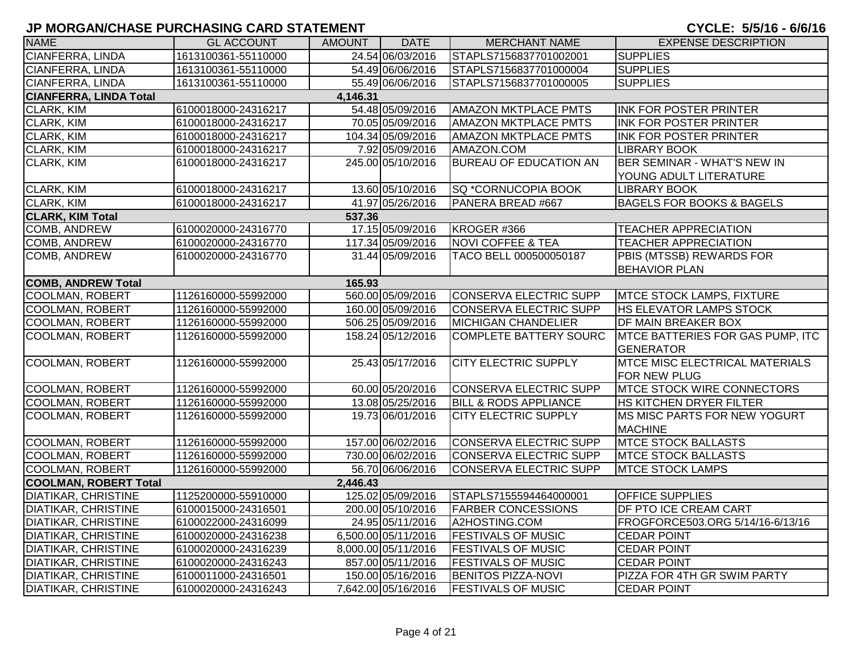| <b>NAME</b>                   | <b>GL ACCOUNT</b>   | AMOUNT   | <b>DATE</b>         | <b>MERCHANT NAME</b>             | <b>EXPENSE DESCRIPTION</b>              |
|-------------------------------|---------------------|----------|---------------------|----------------------------------|-----------------------------------------|
| CIANFERRA, LINDA              | 1613100361-55110000 |          | 24.54 06/03/2016    | STAPLS7156837701002001           | <b>SUPPLIES</b>                         |
| <b>CIANFERRA, LINDA</b>       | 1613100361-55110000 |          | 54.49 06/06/2016    | STAPLS7156837701000004           | <b>SUPPLIES</b>                         |
| <b>CIANFERRA, LINDA</b>       | 1613100361-55110000 |          | 55.49 06/06/2016    | STAPLS7156837701000005           | <b>SUPPLIES</b>                         |
| <b>CIANFERRA, LINDA Total</b> |                     | 4,146.31 |                     |                                  |                                         |
| <b>CLARK, KIM</b>             | 6100018000-24316217 |          | 54.48 05/09/2016    | <b>AMAZON MKTPLACE PMTS</b>      | INK FOR POSTER PRINTER                  |
| <b>CLARK, KIM</b>             | 6100018000-24316217 |          | 70.05 05/09/2016    | <b>AMAZON MKTPLACE PMTS</b>      | INK FOR POSTER PRINTER                  |
| <b>CLARK, KIM</b>             | 6100018000-24316217 |          | 104.34 05/09/2016   | <b>AMAZON MKTPLACE PMTS</b>      | <b>INK FOR POSTER PRINTER</b>           |
| <b>CLARK, KIM</b>             | 6100018000-24316217 |          | 7.92 05/09/2016     | AMAZON.COM                       | <b>LIBRARY BOOK</b>                     |
| <b>CLARK, KIM</b>             | 6100018000-24316217 |          | 245.00 05/10/2016   | <b>BUREAU OF EDUCATION AN</b>    | BER SEMINAR - WHAT'S NEW IN             |
|                               |                     |          |                     |                                  | YOUNG ADULT LITERATURE                  |
| <b>CLARK, KIM</b>             | 6100018000-24316217 |          | 13.60 05/10/2016    | SQ *CORNUCOPIA BOOK              | <b>LIBRARY BOOK</b>                     |
| <b>CLARK, KIM</b>             | 6100018000-24316217 |          | 41.97 05/26/2016    | PANERA BREAD #667                | <b>BAGELS FOR BOOKS &amp; BAGELS</b>    |
| <b>CLARK, KIM Total</b>       |                     | 537.36   |                     |                                  |                                         |
| <b>COMB, ANDREW</b>           | 6100020000-24316770 |          | 17.15 05/09/2016    | KROGER #366                      | <b>TEACHER APPRECIATION</b>             |
| <b>COMB, ANDREW</b>           | 6100020000-24316770 |          | 117.34 05/09/2016   | <b>NOVI COFFEE &amp; TEA</b>     | <b>TEACHER APPRECIATION</b>             |
| COMB, ANDREW                  | 6100020000-24316770 |          | 31.44 05/09/2016    | TACO BELL 000500050187           | PBIS (MTSSB) REWARDS FOR                |
|                               |                     |          |                     |                                  | <b>BEHAVIOR PLAN</b>                    |
| <b>COMB, ANDREW Total</b>     |                     | 165.93   |                     |                                  |                                         |
| <b>COOLMAN, ROBERT</b>        | 1126160000-55992000 |          | 560.00 05/09/2016   | <b>CONSERVA ELECTRIC SUPP</b>    | <b>MTCE STOCK LAMPS, FIXTURE</b>        |
| <b>COOLMAN, ROBERT</b>        | 1126160000-55992000 |          | 160.00 05/09/2016   | <b>CONSERVA ELECTRIC SUPP</b>    | <b>HS ELEVATOR LAMPS STOCK</b>          |
| <b>COOLMAN, ROBERT</b>        | 1126160000-55992000 |          | 506.25 05/09/2016   | <b>MICHIGAN CHANDELIER</b>       | DF MAIN BREAKER BOX                     |
| COOLMAN, ROBERT               | 1126160000-55992000 |          | 158.24 05/12/2016   | <b>COMPLETE BATTERY SOURC</b>    | <b>MTCE BATTERIES FOR GAS PUMP, ITC</b> |
|                               |                     |          |                     |                                  | <b>GENERATOR</b>                        |
| <b>COOLMAN, ROBERT</b>        | 1126160000-55992000 |          | 25.43 05/17/2016    | <b>CITY ELECTRIC SUPPLY</b>      | <b>MTCE MISC ELECTRICAL MATERIALS</b>   |
|                               |                     |          |                     |                                  | <b>FOR NEW PLUG</b>                     |
| COOLMAN, ROBERT               | 1126160000-55992000 |          | 60.00 05/20/2016    | <b>CONSERVA ELECTRIC SUPP</b>    | <b>MTCE STOCK WIRE CONNECTORS</b>       |
| <b>COOLMAN, ROBERT</b>        | 1126160000-55992000 |          | 13.08 05/25/2016    | <b>BILL &amp; RODS APPLIANCE</b> | HS KITCHEN DRYER FILTER                 |
| <b>COOLMAN, ROBERT</b>        | 1126160000-55992000 |          | 19.73 06/01/2016    | <b>CITY ELECTRIC SUPPLY</b>      | MS MISC PARTS FOR NEW YOGURT            |
|                               |                     |          |                     |                                  | <b>MACHINE</b>                          |
| <b>COOLMAN, ROBERT</b>        | 1126160000-55992000 |          | 157.00 06/02/2016   | <b>CONSERVA ELECTRIC SUPP</b>    | <b>MTCE STOCK BALLASTS</b>              |
| <b>COOLMAN, ROBERT</b>        | 1126160000-55992000 |          | 730.00 06/02/2016   | <b>CONSERVA ELECTRIC SUPP</b>    | <b>MTCE STOCK BALLASTS</b>              |
| <b>COOLMAN, ROBERT</b>        | 1126160000-55992000 |          | 56.70 06/06/2016    | <b>CONSERVA ELECTRIC SUPP</b>    | <b>MTCE STOCK LAMPS</b>                 |
| <b>COOLMAN, ROBERT Total</b>  |                     | 2,446.43 |                     |                                  |                                         |
| <b>DIATIKAR, CHRISTINE</b>    | 1125200000-55910000 |          | 125.02 05/09/2016   | STAPLS7155594464000001           | <b>OFFICE SUPPLIES</b>                  |
| <b>DIATIKAR, CHRISTINE</b>    | 6100015000-24316501 |          | 200.00 05/10/2016   | <b>FARBER CONCESSIONS</b>        | DF PTO ICE CREAM CART                   |
| <b>DIATIKAR, CHRISTINE</b>    | 6100022000-24316099 |          | 24.95 05/11/2016    | A2HOSTING.COM                    | FROGFORCE503.ORG 5/14/16-6/13/16        |
| <b>DIATIKAR, CHRISTINE</b>    | 6100020000-24316238 |          | 6,500.00 05/11/2016 | <b>FESTIVALS OF MUSIC</b>        | <b>CEDAR POINT</b>                      |
| <b>DIATIKAR, CHRISTINE</b>    | 6100020000-24316239 |          | 8,000.00 05/11/2016 | <b>FESTIVALS OF MUSIC</b>        | <b>CEDAR POINT</b>                      |
| <b>DIATIKAR, CHRISTINE</b>    | 6100020000-24316243 |          | 857.00 05/11/2016   | <b>FESTIVALS OF MUSIC</b>        | <b>CEDAR POINT</b>                      |
| <b>DIATIKAR, CHRISTINE</b>    | 6100011000-24316501 |          | 150.00 05/16/2016   | <b>BENITOS PIZZA-NOVI</b>        | PIZZA FOR 4TH GR SWIM PARTY             |
| <b>DIATIKAR, CHRISTINE</b>    | 6100020000-24316243 |          | 7,642.00 05/16/2016 | <b>FESTIVALS OF MUSIC</b>        | <b>CEDAR POINT</b>                      |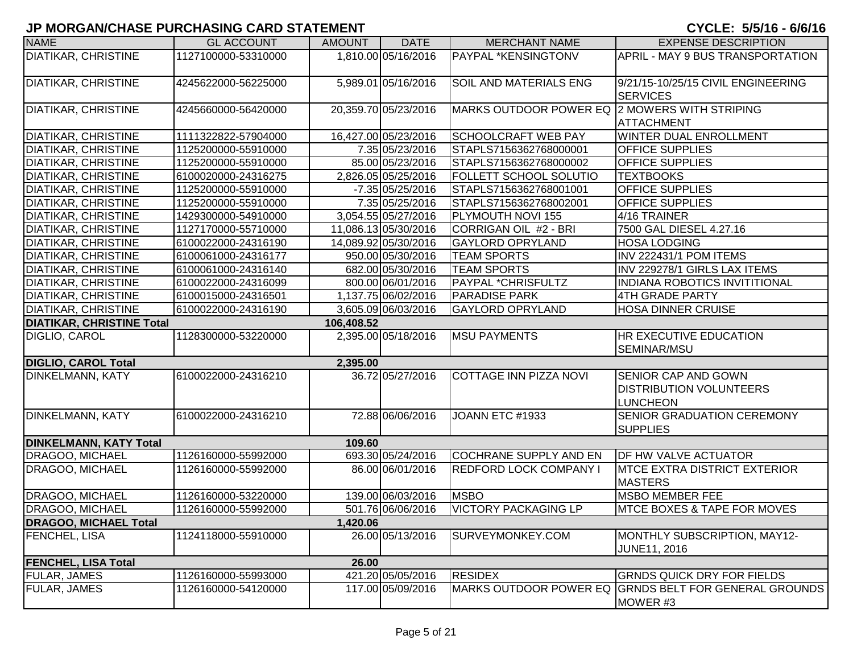| <b>NAME</b>                      | <b>GL ACCOUNT</b>   | <b>AMOUNT</b> | <b>DATE</b>          | <b>MERCHANT NAME</b>                          | <b>EXPENSE DESCRIPTION</b>                                                      |
|----------------------------------|---------------------|---------------|----------------------|-----------------------------------------------|---------------------------------------------------------------------------------|
| <b>DIATIKAR, CHRISTINE</b>       | 1127100000-53310000 |               | 1,810.00 05/16/2016  | <b>PAYPAL *KENSINGTONV</b>                    | APRIL - MAY 9 BUS TRANSPORTATION                                                |
| <b>DIATIKAR, CHRISTINE</b>       | 4245622000-56225000 |               | 5,989.01 05/16/2016  | <b>SOIL AND MATERIALS ENG</b>                 | 9/21/15-10/25/15 CIVIL ENGINEERING<br><b>SERVICES</b>                           |
| <b>DIATIKAR, CHRISTINE</b>       | 4245660000-56420000 |               | 20,359.70 05/23/2016 | MARKS OUTDOOR POWER EQ 2 MOWERS WITH STRIPING | <b>ATTACHMENT</b>                                                               |
| <b>DIATIKAR, CHRISTINE</b>       | 1111322822-57904000 |               | 16,427.00 05/23/2016 | <b>SCHOOLCRAFT WEB PAY</b>                    | <b>WINTER DUAL ENROLLMENT</b>                                                   |
| DIATIKAR, CHRISTINE              | 1125200000-55910000 |               | 7.35 05/23/2016      | STAPLS7156362768000001                        | <b>OFFICE SUPPLIES</b>                                                          |
| DIATIKAR, CHRISTINE              | 1125200000-55910000 |               | 85.00 05/23/2016     | STAPLS7156362768000002                        | <b>OFFICE SUPPLIES</b>                                                          |
| DIATIKAR, CHRISTINE              | 6100020000-24316275 |               | 2,826.05 05/25/2016  | <b>FOLLETT SCHOOL SOLUTIO</b>                 | <b>TEXTBOOKS</b>                                                                |
| DIATIKAR, CHRISTINE              | 1125200000-55910000 |               | $-7.35$ 05/25/2016   | STAPLS7156362768001001                        | <b>OFFICE SUPPLIES</b>                                                          |
| DIATIKAR, CHRISTINE              | 1125200000-55910000 |               | 7.35 05/25/2016      | STAPLS7156362768002001                        | <b>OFFICE SUPPLIES</b>                                                          |
| <b>DIATIKAR, CHRISTINE</b>       | 1429300000-54910000 |               | 3,054.55 05/27/2016  | PLYMOUTH NOVI 155                             | 4/16 TRAINER                                                                    |
| DIATIKAR, CHRISTINE              | 1127170000-55710000 |               | 11,086.13 05/30/2016 | CORRIGAN OIL #2 - BRI                         | 7500 GAL DIESEL 4.27.16                                                         |
| <b>DIATIKAR, CHRISTINE</b>       | 6100022000-24316190 |               | 14,089.92 05/30/2016 | <b>GAYLORD OPRYLAND</b>                       | <b>HOSA LODGING</b>                                                             |
| <b>DIATIKAR, CHRISTINE</b>       | 6100061000-24316177 |               | 950.00 05/30/2016    | <b>TEAM SPORTS</b>                            | INV 222431/1 POM ITEMS                                                          |
| <b>DIATIKAR, CHRISTINE</b>       | 6100061000-24316140 |               | 682.00 05/30/2016    | <b>TEAM SPORTS</b>                            | INV 229278/1 GIRLS LAX ITEMS                                                    |
| <b>DIATIKAR, CHRISTINE</b>       | 6100022000-24316099 |               | 800.00 06/01/2016    | PAYPAL *CHRISFULTZ                            | <b>INDIANA ROBOTICS INVITITIONAL</b>                                            |
| <b>DIATIKAR, CHRISTINE</b>       | 6100015000-24316501 |               | 1,137.75 06/02/2016  | <b>PARADISE PARK</b>                          | 4TH GRADE PARTY                                                                 |
| <b>DIATIKAR, CHRISTINE</b>       | 6100022000-24316190 |               | 3,605.09 06/03/2016  | <b>GAYLORD OPRYLAND</b>                       | <b>HOSA DINNER CRUISE</b>                                                       |
| <b>DIATIKAR, CHRISTINE Total</b> |                     | 106,408.52    |                      |                                               |                                                                                 |
| DIGLIO, CAROL                    | 1128300000-53220000 |               | 2,395.00 05/18/2016  | <b>MSU PAYMENTS</b>                           | <b>HR EXECUTIVE EDUCATION</b><br>SEMINAR/MSU                                    |
| <b>DIGLIO, CAROL Total</b>       |                     | 2,395.00      |                      |                                               |                                                                                 |
| DINKELMANN, KATY                 | 6100022000-24316210 |               | 36.72 05/27/2016     | COTTAGE INN PIZZA NOVI                        | <b>SENIOR CAP AND GOWN</b><br><b>DISTRIBUTION VOLUNTEERS</b><br><b>LUNCHEON</b> |
| DINKELMANN, KATY                 | 6100022000-24316210 |               | 72.88 06/06/2016     | JOANN ETC #1933                               | <b>SENIOR GRADUATION CEREMONY</b><br><b>SUPPLIES</b>                            |
| <b>DINKELMANN, KATY Total</b>    |                     | 109.60        |                      |                                               |                                                                                 |
| DRAGOO, MICHAEL                  | 1126160000-55992000 |               | 693.30 05/24/2016    | COCHRANE SUPPLY AND EN                        | <b>DF HW VALVE ACTUATOR</b>                                                     |
| DRAGOO, MICHAEL                  | 1126160000-55992000 |               | 86.00 06/01/2016     | <b>REDFORD LOCK COMPANY I</b>                 | <b>IMTCE EXTRA DISTRICT EXTERIOR</b><br><b>MASTERS</b>                          |
| DRAGOO, MICHAEL                  | 1126160000-53220000 |               | 139.00 06/03/2016    | <b>MSBO</b>                                   | <b>MSBO MEMBER FEE</b>                                                          |
| DRAGOO, MICHAEL                  | 1126160000-55992000 |               | 501.76 06/06/2016    | <b>VICTORY PACKAGING LP</b>                   | <b>IMTCE BOXES &amp; TAPE FOR MOVES</b>                                         |
| <b>DRAGOO, MICHAEL Total</b>     |                     | 1,420.06      |                      |                                               |                                                                                 |
| FENCHEL, LISA                    | 1124118000-55910000 |               | 26.00 05/13/2016     | SURVEYMONKEY.COM                              | MONTHLY SUBSCRIPTION, MAY12-<br>JUNE11, 2016                                    |
| <b>FENCHEL, LISA Total</b>       |                     | 26.00         |                      |                                               |                                                                                 |
| <b>FULAR, JAMES</b>              | 1126160000-55993000 |               | 421.20 05/05/2016    | <b>RESIDEX</b>                                | <b>GRNDS QUICK DRY FOR FIELDS</b>                                               |
| FULAR, JAMES                     | 1126160000-54120000 |               | 117.00 05/09/2016    |                                               | MARKS OUTDOOR POWER EQ GRNDS BELT FOR GENERAL GROUNDS<br>MOWER #3               |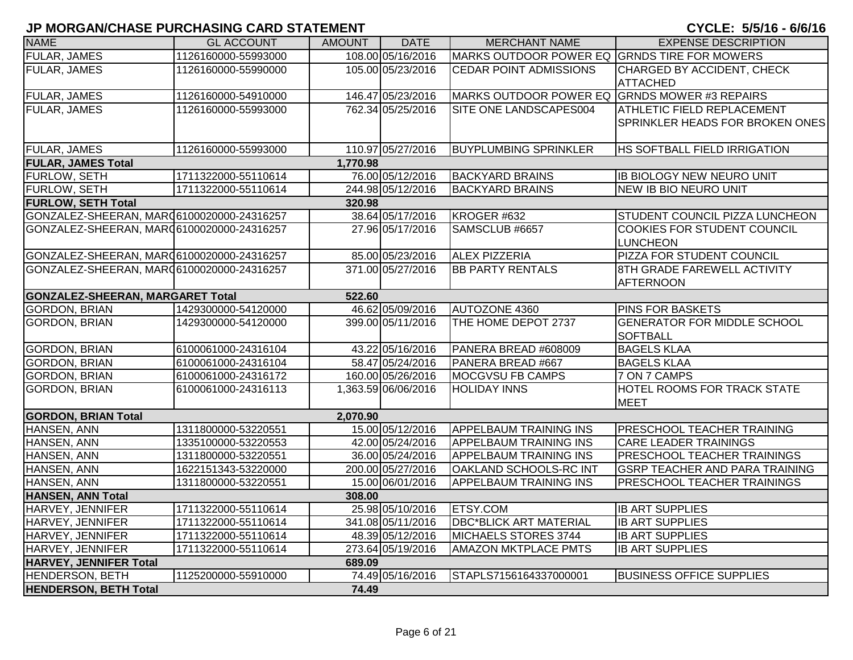| <b>NAME</b>                               | <b>GL ACCOUNT</b>   | <b>AMOUNT</b> | <b>DATE</b>         | <b>MERCHANT NAME</b>                          | <b>EXPENSE DESCRIPTION</b>                                    |
|-------------------------------------------|---------------------|---------------|---------------------|-----------------------------------------------|---------------------------------------------------------------|
| <b>FULAR, JAMES</b>                       | 1126160000-55993000 |               | 108.00 05/16/2016   | MARKS OUTDOOR POWER EQ GRNDS TIRE FOR MOWERS  |                                                               |
| <b>FULAR, JAMES</b>                       | 1126160000-55990000 |               | 105.00 05/23/2016   | <b>CEDAR POINT ADMISSIONS</b>                 | CHARGED BY ACCIDENT, CHECK<br><b>ATTACHED</b>                 |
| FULAR, JAMES                              | 1126160000-54910000 |               | 146.47 05/23/2016   | MARKS OUTDOOR POWER EQ GRNDS MOWER #3 REPAIRS |                                                               |
| <b>FULAR, JAMES</b>                       | 1126160000-55993000 |               | 762.34 05/25/2016   | SITE ONE LANDSCAPES004                        | ATHLETIC FIELD REPLACEMENT<br>SPRINKLER HEADS FOR BROKEN ONES |
| <b>FULAR, JAMES</b>                       | 1126160000-55993000 |               | 110.97 05/27/2016   | <b>BUYPLUMBING SPRINKLER</b>                  | HS SOFTBALL FIELD IRRIGATION                                  |
| <b>FULAR, JAMES Total</b>                 |                     | 1,770.98      |                     |                                               |                                                               |
| FURLOW, SETH                              | 1711322000-55110614 |               | 76.00 05/12/2016    | <b>BACKYARD BRAINS</b>                        | <b>IB BIOLOGY NEW NEURO UNIT</b>                              |
| FURLOW, SETH                              | 1711322000-55110614 |               | 244.98 05/12/2016   | <b>BACKYARD BRAINS</b>                        | <b>NEW IB BIO NEURO UNIT</b>                                  |
| <b>FURLOW, SETH Total</b>                 |                     | 320.98        |                     |                                               |                                                               |
| GONZALEZ-SHEERAN, MARQ6100020000-24316257 |                     |               | 38.64 05/17/2016    | KROGER #632                                   | STUDENT COUNCIL PIZZA LUNCHEON                                |
| GONZALEZ-SHEERAN, MAR06100020000-24316257 |                     |               | 27.96 05/17/2016    | SAMSCLUB #6657                                | COOKIES FOR STUDENT COUNCIL<br><b>LUNCHEON</b>                |
| GONZALEZ-SHEERAN, MAR06100020000-24316257 |                     |               | 85.00 05/23/2016    | <b>ALEX PIZZERIA</b>                          | PIZZA FOR STUDENT COUNCIL                                     |
| GONZALEZ-SHEERAN, MARQ6100020000-24316257 |                     |               | 371.00 05/27/2016   | <b>BB PARTY RENTALS</b>                       | 8TH GRADE FAREWELL ACTIVITY<br><b>AFTERNOON</b>               |
| <b>GONZALEZ-SHEERAN, MARGARET Total</b>   |                     | 522.60        |                     |                                               |                                                               |
| <b>GORDON, BRIAN</b>                      | 1429300000-54120000 |               | 46.62 05/09/2016    | <b>AUTOZONE 4360</b>                          | PINS FOR BASKETS                                              |
| <b>GORDON, BRIAN</b>                      | 1429300000-54120000 |               | 399.00 05/11/2016   | THE HOME DEPOT 2737                           | <b>GENERATOR FOR MIDDLE SCHOOL</b><br><b>SOFTBALL</b>         |
| <b>GORDON, BRIAN</b>                      | 6100061000-24316104 |               | 43.22 05/16/2016    | PANERA BREAD #608009                          | <b>BAGELS KLAA</b>                                            |
| <b>GORDON, BRIAN</b>                      | 6100061000-24316104 |               | 58.47 05/24/2016    | PANERA BREAD #667                             | <b>BAGELS KLAA</b>                                            |
| <b>GORDON, BRIAN</b>                      | 6100061000-24316172 |               | 160.00 05/26/2016   | MOCGVSU FB CAMPS                              | 7 ON 7 CAMPS                                                  |
| <b>GORDON, BRIAN</b>                      | 6100061000-24316113 |               | 1,363.59 06/06/2016 | <b>HOLIDAY INNS</b>                           | HOTEL ROOMS FOR TRACK STATE<br><b>MEET</b>                    |
| <b>GORDON, BRIAN Total</b>                |                     | 2,070.90      |                     |                                               |                                                               |
| HANSEN, ANN                               | 1311800000-53220551 |               | 15.00 05/12/2016    | <b>APPELBAUM TRAINING INS</b>                 | PRESCHOOL TEACHER TRAINING                                    |
| HANSEN, ANN                               | 1335100000-53220553 |               | 42.00 05/24/2016    | <b>APPELBAUM TRAINING INS</b>                 | <b>CARE LEADER TRAININGS</b>                                  |
| HANSEN, ANN                               | 1311800000-53220551 |               | 36.00 05/24/2016    | <b>APPELBAUM TRAINING INS</b>                 | PRESCHOOL TEACHER TRAININGS                                   |
| HANSEN, ANN                               | 1622151343-53220000 |               | 200.00 05/27/2016   | OAKLAND SCHOOLS-RC INT                        | <b>GSRP TEACHER AND PARA TRAINING</b>                         |
| HANSEN, ANN                               | 1311800000-53220551 |               | 15.00 06/01/2016    | <b>APPELBAUM TRAINING INS</b>                 | PRESCHOOL TEACHER TRAININGS                                   |
| <b>HANSEN, ANN Total</b>                  |                     | 308.00        |                     |                                               |                                                               |
| HARVEY, JENNIFER                          | 1711322000-55110614 |               | 25.98 05/10/2016    | <b>ETSY.COM</b>                               | <b>IB ART SUPPLIES</b>                                        |
| HARVEY, JENNIFER                          | 1711322000-55110614 |               | 341.08 05/11/2016   | <b>DBC*BLICK ART MATERIAL</b>                 | <b>IB ART SUPPLIES</b>                                        |
| HARVEY, JENNIFER                          | 1711322000-55110614 |               | 48.39 05/12/2016    | <b>MICHAELS STORES 3744</b>                   | <b>IB ART SUPPLIES</b>                                        |
| HARVEY, JENNIFER                          | 1711322000-55110614 |               | 273.64 05/19/2016   | <b>AMAZON MKTPLACE PMTS</b>                   | <b>IB ART SUPPLIES</b>                                        |
| HARVEY, JENNIFER Total                    |                     | 689.09        |                     |                                               |                                                               |
| <b>HENDERSON, BETH</b>                    | 1125200000-55910000 |               | 74.49 05/16/2016    | STAPLS7156164337000001                        | <b>BUSINESS OFFICE SUPPLIES</b>                               |
| <b>HENDERSON, BETH Total</b>              |                     | 74.49         |                     |                                               |                                                               |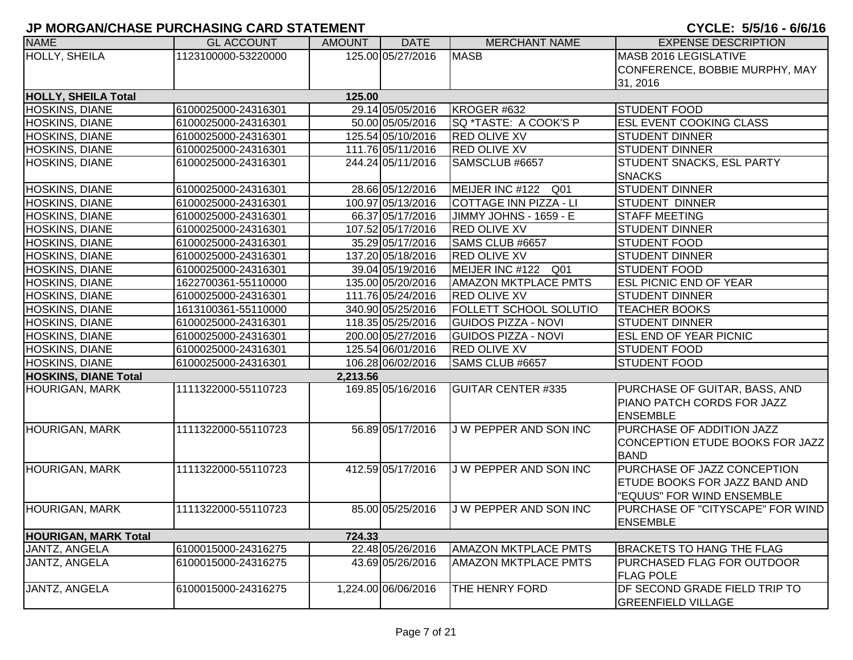| <b>NAME</b>                 | <b>GL ACCOUNT</b>   | <b>AMOUNT</b> | <b>DATE</b>         | <b>MERCHANT NAME</b>          | <b>EXPENSE DESCRIPTION</b>           |
|-----------------------------|---------------------|---------------|---------------------|-------------------------------|--------------------------------------|
| HOLLY, SHEILA               | 1123100000-53220000 |               | 125.00 05/27/2016   | <b>MASB</b>                   | <b>MASB 2016 LEGISLATIVE</b>         |
|                             |                     |               |                     |                               | CONFERENCE, BOBBIE MURPHY, MAY       |
|                             |                     |               |                     |                               | 31, 2016                             |
| <b>HOLLY, SHEILA Total</b>  |                     | 125.00        |                     |                               |                                      |
| <b>HOSKINS, DIANE</b>       | 6100025000-24316301 |               | 29.14 05/05/2016    | KROGER #632                   | <b>STUDENT FOOD</b>                  |
| <b>HOSKINS, DIANE</b>       | 6100025000-24316301 |               | 50.00 05/05/2016    | SQ *TASTE: A COOK'S P         | <b>ESL EVENT COOKING CLASS</b>       |
| <b>HOSKINS, DIANE</b>       | 6100025000-24316301 |               | 125.54 05/10/2016   | <b>RED OLIVE XV</b>           | <b>STUDENT DINNER</b>                |
| <b>HOSKINS, DIANE</b>       | 6100025000-24316301 |               | 111.76 05/11/2016   | <b>RED OLIVE XV</b>           | <b>STUDENT DINNER</b>                |
| HOSKINS, DIANE              | 6100025000-24316301 |               | 244.24 05/11/2016   | SAMSCLUB #6657                | <b>STUDENT SNACKS, ESL PARTY</b>     |
|                             |                     |               |                     |                               | <b>SNACKS</b>                        |
| HOSKINS, DIANE              | 6100025000-24316301 |               | 28.66 05/12/2016    | MEIJER INC #122 Q01           | <b>STUDENT DINNER</b>                |
| <b>HOSKINS, DIANE</b>       | 6100025000-24316301 |               | 100.97 05/13/2016   | <b>COTTAGE INN PIZZA - LI</b> | <b>STUDENT DINNER</b>                |
| <b>HOSKINS, DIANE</b>       | 6100025000-24316301 |               | 66.37 05/17/2016    | JIMMY JOHNS - 1659 - E        | <b>STAFF MEETING</b>                 |
| <b>HOSKINS, DIANE</b>       | 6100025000-24316301 |               | 107.52 05/17/2016   | <b>RED OLIVE XV</b>           | <b>STUDENT DINNER</b>                |
| <b>HOSKINS, DIANE</b>       | 6100025000-24316301 |               | 35.29 05/17/2016    | SAMS CLUB #6657               | <b>STUDENT FOOD</b>                  |
| <b>HOSKINS, DIANE</b>       | 6100025000-24316301 |               | 137.20 05/18/2016   | <b>RED OLIVE XV</b>           | <b>STUDENT DINNER</b>                |
| <b>HOSKINS, DIANE</b>       | 6100025000-24316301 |               | 39.04 05/19/2016    | MEIJER INC #122 Q01           | <b>STUDENT FOOD</b>                  |
| HOSKINS, DIANE              | 1622700361-55110000 |               | 135.00 05/20/2016   | <b>AMAZON MKTPLACE PMTS</b>   | <b>ESL PICNIC END OF YEAR</b>        |
| <b>HOSKINS, DIANE</b>       | 6100025000-24316301 |               | 111.76 05/24/2016   | <b>RED OLIVE XV</b>           | <b>STUDENT DINNER</b>                |
| <b>HOSKINS, DIANE</b>       | 1613100361-55110000 |               | 340.90 05/25/2016   | FOLLETT SCHOOL SOLUTIO        | <b>TEACHER BOOKS</b>                 |
| <b>HOSKINS, DIANE</b>       | 6100025000-24316301 |               | 118.35 05/25/2016   | <b>GUIDOS PIZZA - NOVI</b>    | <b>STUDENT DINNER</b>                |
| <b>HOSKINS, DIANE</b>       | 6100025000-24316301 |               | 200.00 05/27/2016   | <b>GUIDOS PIZZA - NOVI</b>    | <b>ESL END OF YEAR PICNIC</b>        |
| <b>HOSKINS, DIANE</b>       | 6100025000-24316301 |               | 125.54 06/01/2016   | <b>RED OLIVE XV</b>           | <b>STUDENT FOOD</b>                  |
| <b>HOSKINS, DIANE</b>       | 6100025000-24316301 |               | 106.28 06/02/2016   | SAMS CLUB #6657               | <b>STUDENT FOOD</b>                  |
| <b>HOSKINS, DIANE Total</b> |                     | 2,213.56      |                     |                               |                                      |
| <b>HOURIGAN, MARK</b>       | 1111322000-55110723 |               | 169.85 05/16/2016   | <b>GUITAR CENTER #335</b>     | PURCHASE OF GUITAR, BASS, AND        |
|                             |                     |               |                     |                               | PIANO PATCH CORDS FOR JAZZ           |
|                             |                     |               |                     |                               | <b>ENSEMBLE</b>                      |
| <b>HOURIGAN, MARK</b>       | 1111322000-55110723 |               | 56.89 05/17/2016    | J W PEPPER AND SON INC        | <b>PURCHASE OF ADDITION JAZZ</b>     |
|                             |                     |               |                     |                               | CONCEPTION ETUDE BOOKS FOR JAZZ      |
|                             |                     |               |                     |                               | <b>BAND</b>                          |
| <b>HOURIGAN, MARK</b>       | 1111322000-55110723 |               | 412.59 05/17/2016   | J W PEPPER AND SON INC        | PURCHASE OF JAZZ CONCEPTION          |
|                             |                     |               |                     |                               | <b>ETUDE BOOKS FOR JAZZ BAND AND</b> |
|                             |                     |               |                     |                               | "EQUUS" FOR WIND ENSEMBLE            |
| <b>HOURIGAN, MARK</b>       | 1111322000-55110723 |               | 85.00 05/25/2016    | J W PEPPER AND SON INC        | PURCHASE OF "CITYSCAPE" FOR WIND     |
|                             |                     |               |                     |                               | <b>ENSEMBLE</b>                      |
| <b>HOURIGAN, MARK Total</b> |                     | 724.33        |                     |                               |                                      |
| JANTZ, ANGELA               | 6100015000-24316275 |               | 22.48 05/26/2016    | <b>AMAZON MKTPLACE PMTS</b>   | <b>BRACKETS TO HANG THE FLAG</b>     |
| JANTZ, ANGELA               | 6100015000-24316275 |               | 43.69 05/26/2016    | <b>AMAZON MKTPLACE PMTS</b>   | <b>PURCHASED FLAG FOR OUTDOOR</b>    |
|                             |                     |               |                     |                               | <b>FLAG POLE</b>                     |
| JANTZ, ANGELA               | 6100015000-24316275 |               | 1,224.00 06/06/2016 | THE HENRY FORD                | DF SECOND GRADE FIELD TRIP TO        |
|                             |                     |               |                     |                               | <b>GREENFIELD VILLAGE</b>            |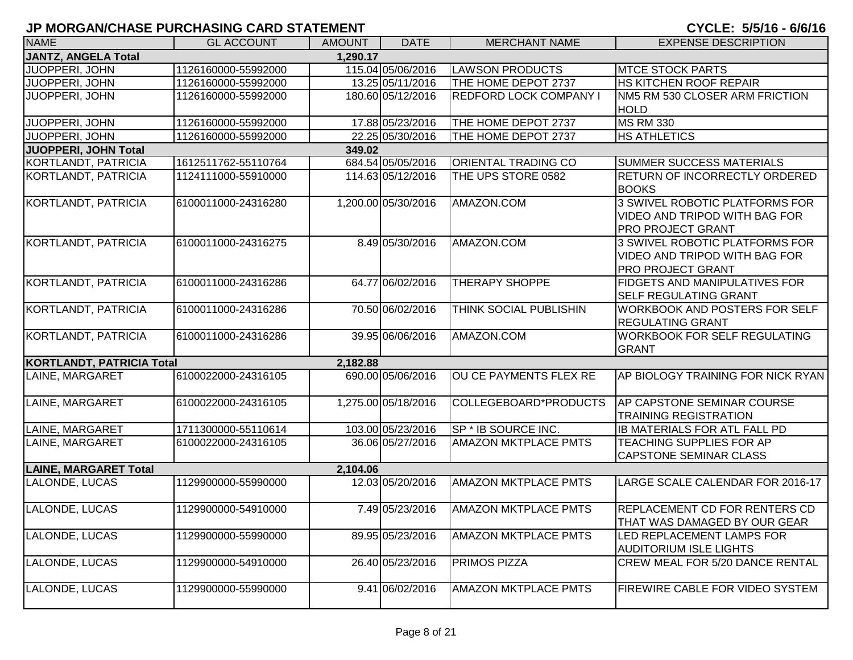## **JP MORGAN/CHASE PURCHASING CARD STATEMENT AND RESIDENT OF A STATEMENT OF A STATEMENT OF A STATEMENT OF A STATEMENT OF A STATEMENT OF A STATEMENT OF A STATEMENT OF A STATEMENT OF A STATEMENT OF A STATEMENT OF A STATEMENT O**

| CYCLE: 5/5/16 - 6/6/16 |  |
|------------------------|--|
|------------------------|--|

| <b>NAME</b>                      | <b>GL ACCOUNT</b>   | <b>AMOUNT</b> | <b>DATE</b>         | <b>MERCHANT NAME</b>          | <b>EXPENSE DESCRIPTION</b>                                                                  |
|----------------------------------|---------------------|---------------|---------------------|-------------------------------|---------------------------------------------------------------------------------------------|
| <b>JANTZ, ANGELA Total</b>       |                     | 1,290.17      |                     |                               |                                                                                             |
| JUOPPERI, JOHN                   | 1126160000-55992000 |               | 115.04 05/06/2016   | <b>LAWSON PRODUCTS</b>        | <b>MTCE STOCK PARTS</b>                                                                     |
| JUOPPERI, JOHN                   | 1126160000-55992000 |               | 13.25 05/11/2016    | THE HOME DEPOT 2737           | <b>HS KITCHEN ROOF REPAIR</b>                                                               |
| JUOPPERI, JOHN                   | 1126160000-55992000 |               | 180.60 05/12/2016   | <b>REDFORD LOCK COMPANY I</b> | <b>INM5 RM 530 CLOSER ARM FRICTION</b>                                                      |
|                                  |                     |               |                     |                               | <b>HOLD</b>                                                                                 |
| <b>JUOPPERI, JOHN</b>            | 1126160000-55992000 |               | 17.88 05/23/2016    | THE HOME DEPOT 2737           | <b>MS RM 330</b>                                                                            |
| <b>JUOPPERI, JOHN</b>            | 1126160000-55992000 |               | 22.25 05/30/2016    | THE HOME DEPOT 2737           | <b>HS ATHLETICS</b>                                                                         |
| <b>JUOPPERI, JOHN Total</b>      |                     | 349.02        |                     |                               |                                                                                             |
| <b>KORTLANDT, PATRICIA</b>       | 1612511762-55110764 |               | 684.54 05/05/2016   | <b>ORIENTAL TRADING CO</b>    | <b>SUMMER SUCCESS MATERIALS</b>                                                             |
| KORTLANDT, PATRICIA              | 1124111000-55910000 |               | 114.63 05/12/2016   | THE UPS STORE 0582            | <b>RETURN OF INCORRECTLY ORDERED</b><br><b>BOOKS</b>                                        |
| KORTLANDT, PATRICIA              | 6100011000-24316280 |               | 1,200.00 05/30/2016 | AMAZON.COM                    | 3 SWIVEL ROBOTIC PLATFORMS FOR<br>VIDEO AND TRIPOD WITH BAG FOR<br><b>PRO PROJECT GRANT</b> |
| KORTLANDT, PATRICIA              | 6100011000-24316275 |               | 8.49 05/30/2016     | AMAZON.COM                    | 3 SWIVEL ROBOTIC PLATFORMS FOR<br>VIDEO AND TRIPOD WITH BAG FOR<br><b>PRO PROJECT GRANT</b> |
| <b>KORTLANDT, PATRICIA</b>       | 6100011000-24316286 |               | 64.77 06/02/2016    | <b>THERAPY SHOPPE</b>         | <b>FIDGETS AND MANIPULATIVES FOR</b><br><b>SELF REGULATING GRANT</b>                        |
| KORTLANDT, PATRICIA              | 6100011000-24316286 |               | 70.50 06/02/2016    | THINK SOCIAL PUBLISHIN        | <b>WORKBOOK AND POSTERS FOR SELF</b><br><b>REGULATING GRANT</b>                             |
| KORTLANDT, PATRICIA              | 6100011000-24316286 |               | 39.95 06/06/2016    | AMAZON.COM                    | <b>WORKBOOK FOR SELF REGULATING</b><br><b>GRANT</b>                                         |
| <b>KORTLANDT, PATRICIA Total</b> |                     | 2,182.88      |                     |                               |                                                                                             |
| LAINE, MARGARET                  | 6100022000-24316105 |               | 690.00 05/06/2016   | OU CE PAYMENTS FLEX RE        | AP BIOLOGY TRAINING FOR NICK RYAN                                                           |
| LAINE, MARGARET                  | 6100022000-24316105 |               | 1,275.00 05/18/2016 | COLLEGEBOARD*PRODUCTS         | AP CAPSTONE SEMINAR COURSE<br><b>TRAINING REGISTRATION</b>                                  |
| LAINE, MARGARET                  | 1711300000-55110614 |               | 103.00 05/23/2016   | SP * IB SOURCE INC.           | <b>IB MATERIALS FOR ATL FALL PD</b>                                                         |
| LAINE, MARGARET                  | 6100022000-24316105 |               | 36.06 05/27/2016    | <b>AMAZON MKTPLACE PMTS</b>   | <b>TEACHING SUPPLIES FOR AP</b><br><b>CAPSTONE SEMINAR CLASS</b>                            |
| <b>LAINE, MARGARET Total</b>     |                     | 2,104.06      |                     |                               |                                                                                             |
| <b>LALONDE, LUCAS</b>            | 1129900000-55990000 |               | 12.03 05/20/2016    | <b>AMAZON MKTPLACE PMTS</b>   | LARGE SCALE CALENDAR FOR 2016-17                                                            |
| LALONDE, LUCAS                   | 1129900000-54910000 |               | 7.49 05/23/2016     | <b>AMAZON MKTPLACE PMTS</b>   | <b>REPLACEMENT CD FOR RENTERS CD</b><br><b>THAT WAS DAMAGED BY OUR GEAR</b>                 |
| <b>LALONDE, LUCAS</b>            | 1129900000-55990000 |               | 89.95 05/23/2016    | <b>AMAZON MKTPLACE PMTS</b>   | LED REPLACEMENT LAMPS FOR<br><b>AUDITORIUM ISLE LIGHTS</b>                                  |
| LALONDE, LUCAS                   | 1129900000-54910000 |               | 26.40 05/23/2016    | <b>PRIMOS PIZZA</b>           | <b>CREW MEAL FOR 5/20 DANCE RENTAL</b>                                                      |
| LALONDE, LUCAS                   | 1129900000-55990000 |               | 9.41 06/02/2016     | <b>AMAZON MKTPLACE PMTS</b>   | <b>FIREWIRE CABLE FOR VIDEO SYSTEM</b>                                                      |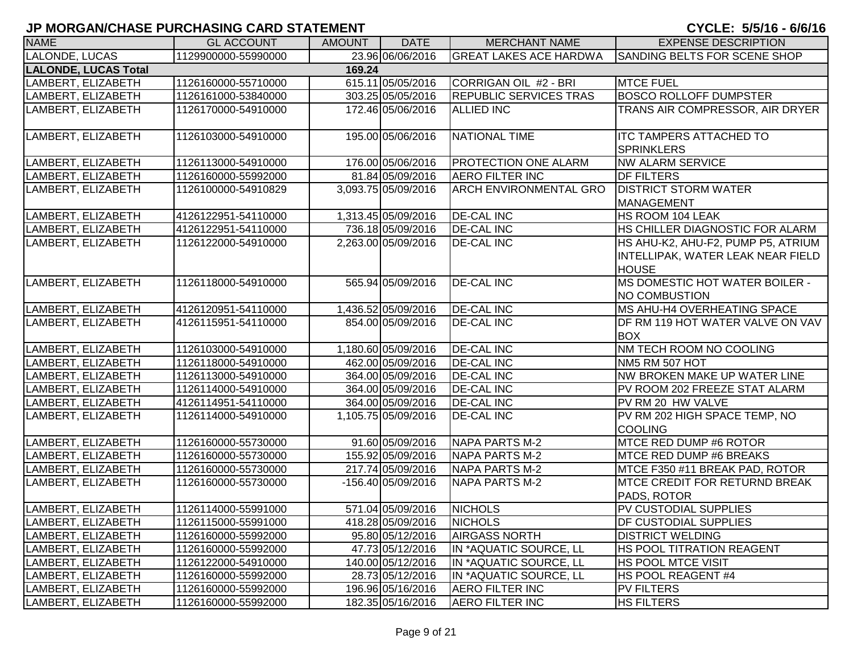| <b>NAME</b>                 | <b>GL ACCOUNT</b>   | <b>AMOUNT</b> | <b>DATE</b>         | <b>MERCHANT NAME</b>          | <b>EXPENSE DESCRIPTION</b>             |
|-----------------------------|---------------------|---------------|---------------------|-------------------------------|----------------------------------------|
| LALONDE, LUCAS              | 1129900000-55990000 |               | 23.96 06/06/2016    | <b>GREAT LAKES ACE HARDWA</b> | SANDING BELTS FOR SCENE SHOP           |
| <b>LALONDE, LUCAS Total</b> |                     | 169.24        |                     |                               |                                        |
| LAMBERT, ELIZABETH          | 1126160000-55710000 |               | 615.11 05/05/2016   | CORRIGAN OIL #2 - BRI         | <b>MTCE FUEL</b>                       |
| LAMBERT, ELIZABETH          | 1126161000-53840000 |               | 303.25 05/05/2016   | <b>REPUBLIC SERVICES TRAS</b> | <b>BOSCO ROLLOFF DUMPSTER</b>          |
| LAMBERT, ELIZABETH          | 1126170000-54910000 |               | 172.46 05/06/2016   | <b>ALLIED INC</b>             | TRANS AIR COMPRESSOR, AIR DRYER        |
|                             |                     |               |                     |                               |                                        |
| LAMBERT, ELIZABETH          | 1126103000-54910000 |               | 195.00 05/06/2016   | <b>NATIONAL TIME</b>          | <b>ITC TAMPERS ATTACHED TO</b>         |
|                             |                     |               |                     |                               | <b>SPRINKLERS</b>                      |
| LAMBERT, ELIZABETH          | 1126113000-54910000 |               | 176.00 05/06/2016   | <b>PROTECTION ONE ALARM</b>   | <b>NW ALARM SERVICE</b>                |
| LAMBERT, ELIZABETH          | 1126160000-55992000 |               | 81.84 05/09/2016    | <b>AERO FILTER INC</b>        | <b>DF FILTERS</b>                      |
| LAMBERT, ELIZABETH          | 1126100000-54910829 |               | 3,093.75 05/09/2016 | <b>ARCH ENVIRONMENTAL GRO</b> | <b>DISTRICT STORM WATER</b>            |
|                             |                     |               |                     |                               | <b>MANAGEMENT</b>                      |
| LAMBERT, ELIZABETH          | 4126122951-54110000 |               | 1,313.45 05/09/2016 | <b>DE-CAL INC</b>             | HS ROOM 104 LEAK                       |
| LAMBERT, ELIZABETH          | 4126122951-54110000 |               | 736.18 05/09/2016   | <b>DE-CAL INC</b>             | HS CHILLER DIAGNOSTIC FOR ALARM        |
| LAMBERT, ELIZABETH          | 1126122000-54910000 |               | 2,263.00 05/09/2016 | <b>DE-CAL INC</b>             | HS AHU-K2, AHU-F2, PUMP P5, ATRIUM     |
|                             |                     |               |                     |                               | INTELLIPAK, WATER LEAK NEAR FIELD      |
|                             |                     |               |                     |                               | <b>HOUSE</b>                           |
| LAMBERT, ELIZABETH          | 1126118000-54910000 |               | 565.94 05/09/2016   | <b>DE-CAL INC</b>             | <b>IMS DOMESTIC HOT WATER BOILER -</b> |
|                             |                     |               |                     |                               | NO COMBUSTION                          |
| LAMBERT, ELIZABETH          | 4126120951-54110000 |               | 1,436.52 05/09/2016 | <b>DE-CAL INC</b>             | <b>IMS AHU-H4 OVERHEATING SPACE</b>    |
| LAMBERT, ELIZABETH          | 4126115951-54110000 |               | 854.00 05/09/2016   | <b>DE-CAL INC</b>             | DF RM 119 HOT WATER VALVE ON VAV       |
|                             |                     |               |                     |                               | <b>BOX</b>                             |
| LAMBERT, ELIZABETH          | 1126103000-54910000 |               | 1,180.60 05/09/2016 | <b>DE-CAL INC</b>             | <b>NM TECH ROOM NO COOLING</b>         |
| LAMBERT, ELIZABETH          | 1126118000-54910000 |               | 462.00 05/09/2016   | <b>DE-CAL INC</b>             | NM5 RM 507 HOT                         |
| LAMBERT, ELIZABETH          | 1126113000-54910000 |               | 364.00 05/09/2016   | <b>DE-CAL INC</b>             | NW BROKEN MAKE UP WATER LINE           |
| LAMBERT, ELIZABETH          | 1126114000-54910000 |               | 364.00 05/09/2016   | <b>DE-CAL INC</b>             | PV ROOM 202 FREEZE STAT ALARM          |
| LAMBERT, ELIZABETH          | 4126114951-54110000 |               | 364.00 05/09/2016   | <b>DE-CAL INC</b>             | PV RM 20 HW VALVE                      |
| LAMBERT, ELIZABETH          | 1126114000-54910000 |               | 1,105.75 05/09/2016 | <b>DE-CAL INC</b>             | PV RM 202 HIGH SPACE TEMP, NO          |
|                             |                     |               |                     |                               | <b>COOLING</b>                         |
| LAMBERT, ELIZABETH          | 1126160000-55730000 |               | 91.60 05/09/2016    | NAPA PARTS M-2                | MTCE RED DUMP #6 ROTOR                 |
| LAMBERT, ELIZABETH          | 1126160000-55730000 |               | 155.92 05/09/2016   | NAPA PARTS M-2                | MTCE RED DUMP #6 BREAKS                |
| LAMBERT, ELIZABETH          | 1126160000-55730000 |               | 217.74 05/09/2016   | <b>NAPA PARTS M-2</b>         | MTCE F350 #11 BREAK PAD, ROTOR         |
| LAMBERT, ELIZABETH          | 1126160000-55730000 |               | -156.40 05/09/2016  | <b>NAPA PARTS M-2</b>         | <b>MTCE CREDIT FOR RETURND BREAK</b>   |
|                             |                     |               |                     |                               | PADS, ROTOR                            |
| LAMBERT, ELIZABETH          | 1126114000-55991000 |               | 571.04 05/09/2016   | <b>NICHOLS</b>                | PV CUSTODIAL SUPPLIES                  |
| LAMBERT, ELIZABETH          | 1126115000-55991000 |               | 418.28 05/09/2016   | <b>NICHOLS</b>                | <b>DF CUSTODIAL SUPPLIES</b>           |
| LAMBERT, ELIZABETH          | 1126160000-55992000 |               | 95.80 05/12/2016    | <b>AIRGASS NORTH</b>          | <b>DISTRICT WELDING</b>                |
| LAMBERT, ELIZABETH          | 1126160000-55992000 |               | 47.73 05/12/2016    | IN *AQUATIC SOURCE, LL        | <b>HS POOL TITRATION REAGENT</b>       |
| LAMBERT, ELIZABETH          | 1126122000-54910000 |               | 140.00 05/12/2016   | IN *AQUATIC SOURCE, LL        | <b>HS POOL MTCE VISIT</b>              |
| LAMBERT, ELIZABETH          | 1126160000-55992000 |               | 28.73 05/12/2016    | IN *AQUATIC SOURCE, LL        | <b>HS POOL REAGENT #4</b>              |
| LAMBERT, ELIZABETH          | 1126160000-55992000 |               | 196.96 05/16/2016   | <b>AERO FILTER INC</b>        | <b>PV FILTERS</b>                      |
| LAMBERT, ELIZABETH          | 1126160000-55992000 |               | 182.35 05/16/2016   | <b>AERO FILTER INC</b>        | <b>HS FILTERS</b>                      |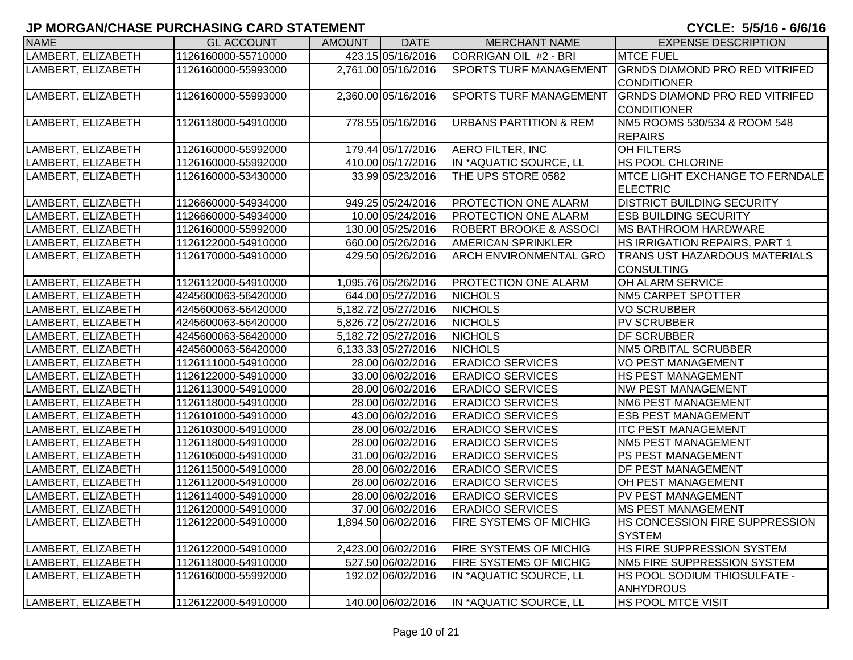| <b>NAME</b>        | <b>GL ACCOUNT</b>   | <b>AMOUNT</b> | <b>DATE</b>         | <b>MERCHANT NAME</b>              | <b>EXPENSE DESCRIPTION</b>             |
|--------------------|---------------------|---------------|---------------------|-----------------------------------|----------------------------------------|
| LAMBERT, ELIZABETH | 1126160000-55710000 |               | 423.15 05/16/2016   | CORRIGAN OIL #2 - BRI             | <b>MTCE FUEL</b>                       |
| LAMBERT, ELIZABETH | 1126160000-55993000 |               | 2,761.00 05/16/2016 | <b>SPORTS TURF MANAGEMENT</b>     | <b>GRNDS DIAMOND PRO RED VITRIFED</b>  |
|                    |                     |               |                     |                                   | <b>CONDITIONER</b>                     |
| LAMBERT, ELIZABETH | 1126160000-55993000 |               | 2,360.00 05/16/2016 | <b>SPORTS TURF MANAGEMENT</b>     | <b>GRNDS DIAMOND PRO RED VITRIFED</b>  |
|                    |                     |               |                     |                                   | <b>CONDITIONER</b>                     |
| LAMBERT, ELIZABETH | 1126118000-54910000 |               | 778.55 05/16/2016   | <b>URBANS PARTITION &amp; REM</b> | NM5 ROOMS 530/534 & ROOM 548           |
|                    |                     |               |                     |                                   | <b>REPAIRS</b>                         |
| LAMBERT, ELIZABETH | 1126160000-55992000 |               | 179.44 05/17/2016   | <b>AERO FILTER, INC</b>           | <b>OH FILTERS</b>                      |
| LAMBERT, ELIZABETH | 1126160000-55992000 |               | 410.00 05/17/2016   | IN *AQUATIC SOURCE, LL            | <b>HS POOL CHLORINE</b>                |
| LAMBERT, ELIZABETH | 1126160000-53430000 |               | 33.99 05/23/2016    | THE UPS STORE 0582                | <b>MTCE LIGHT EXCHANGE TO FERNDALE</b> |
|                    |                     |               |                     |                                   | <b>ELECTRIC</b>                        |
| LAMBERT, ELIZABETH | 1126660000-54934000 |               | 949.25 05/24/2016   | <b>PROTECTION ONE ALARM</b>       | <b>DISTRICT BUILDING SECURITY</b>      |
| LAMBERT, ELIZABETH | 1126660000-54934000 |               | 10.00 05/24/2016    | <b>PROTECTION ONE ALARM</b>       | <b>ESB BUILDING SECURITY</b>           |
| LAMBERT, ELIZABETH | 1126160000-55992000 |               | 130.00 05/25/2016   | ROBERT BROOKE & ASSOCI            | <b>IMS BATHROOM HARDWARE</b>           |
| LAMBERT, ELIZABETH | 1126122000-54910000 |               | 660.00 05/26/2016   | <b>AMERICAN SPRINKLER</b>         | HS IRRIGATION REPAIRS, PART 1          |
| LAMBERT, ELIZABETH | 1126170000-54910000 |               | 429.50 05/26/2016   | ARCH ENVIRONMENTAL GRO            | <b>TRANS UST HAZARDOUS MATERIALS</b>   |
|                    |                     |               |                     |                                   | <b>CONSULTING</b>                      |
| LAMBERT, ELIZABETH | 1126112000-54910000 |               | 1,095.76 05/26/2016 | <b>PROTECTION ONE ALARM</b>       | <b>OH ALARM SERVICE</b>                |
| LAMBERT, ELIZABETH | 4245600063-56420000 |               | 644.00 05/27/2016   | <b>NICHOLS</b>                    | NM5 CARPET SPOTTER                     |
| LAMBERT, ELIZABETH | 4245600063-56420000 |               | 5,182.72 05/27/2016 | <b>NICHOLS</b>                    | <b>VO SCRUBBER</b>                     |
| LAMBERT, ELIZABETH | 4245600063-56420000 |               | 5,826.72 05/27/2016 | <b>NICHOLS</b>                    | <b>PV SCRUBBER</b>                     |
| LAMBERT, ELIZABETH | 4245600063-56420000 |               | 5,182.72 05/27/2016 | <b>NICHOLS</b>                    | <b>DF SCRUBBER</b>                     |
| LAMBERT, ELIZABETH | 4245600063-56420000 |               | 6,133.33 05/27/2016 | <b>NICHOLS</b>                    | NM5 ORBITAL SCRUBBER                   |
| LAMBERT, ELIZABETH | 1126111000-54910000 |               | 28.00 06/02/2016    | <b>ERADICO SERVICES</b>           | <b>VO PEST MANAGEMENT</b>              |
| LAMBERT, ELIZABETH | 1126122000-54910000 |               | 33.00 06/02/2016    | <b>ERADICO SERVICES</b>           | HS PEST MANAGEMENT                     |
| LAMBERT, ELIZABETH | 1126113000-54910000 |               | 28.00 06/02/2016    | <b>ERADICO SERVICES</b>           | <b>INW PEST MANAGEMENT</b>             |
| LAMBERT, ELIZABETH | 1126118000-54910000 |               | 28.00 06/02/2016    | <b>ERADICO SERVICES</b>           | <b>NM6 PEST MANAGEMENT</b>             |
| LAMBERT, ELIZABETH | 1126101000-54910000 |               | 43.00 06/02/2016    | <b>ERADICO SERVICES</b>           | <b>ESB PEST MANAGEMENT</b>             |
| LAMBERT, ELIZABETH | 1126103000-54910000 |               | 28.00 06/02/2016    | <b>ERADICO SERVICES</b>           | <b>ITC PEST MANAGEMENT</b>             |
| LAMBERT, ELIZABETH | 1126118000-54910000 |               | 28.00 06/02/2016    | <b>ERADICO SERVICES</b>           | <b>NM5 PEST MANAGEMENT</b>             |
| LAMBERT, ELIZABETH | 1126105000-54910000 |               | 31.00 06/02/2016    | <b>ERADICO SERVICES</b>           | <b>PS PEST MANAGEMENT</b>              |
| LAMBERT, ELIZABETH | 1126115000-54910000 |               | 28.00 06/02/2016    | <b>ERADICO SERVICES</b>           | <b>DF PEST MANAGEMENT</b>              |
| LAMBERT, ELIZABETH | 1126112000-54910000 |               | 28.00 06/02/2016    | <b>ERADICO SERVICES</b>           | <b>OH PEST MANAGEMENT</b>              |
| LAMBERT, ELIZABETH | 1126114000-54910000 |               | 28.00 06/02/2016    | <b>ERADICO SERVICES</b>           | PV PEST MANAGEMENT                     |
| LAMBERT, ELIZABETH | 1126120000-54910000 |               | 37.00 06/02/2016    | <b>ERADICO SERVICES</b>           | <b>MS PEST MANAGEMENT</b>              |
| LAMBERT, ELIZABETH | 1126122000-54910000 |               | 1,894.50 06/02/2016 | <b>FIRE SYSTEMS OF MICHIG</b>     | <b>HS CONCESSION FIRE SUPPRESSION</b>  |
|                    |                     |               |                     |                                   | <b>SYSTEM</b>                          |
| LAMBERT, ELIZABETH | 1126122000-54910000 |               | 2,423.00 06/02/2016 | <b>FIRE SYSTEMS OF MICHIG</b>     | <b>HS FIRE SUPPRESSION SYSTEM</b>      |
| LAMBERT, ELIZABETH | 1126118000-54910000 |               | 527.50 06/02/2016   | <b>FIRE SYSTEMS OF MICHIG</b>     | NM5 FIRE SUPPRESSION SYSTEM            |
| LAMBERT, ELIZABETH | 1126160000-55992000 |               | 192.02 06/02/2016   | IN *AQUATIC SOURCE, LL            | HS POOL SODIUM THIOSULFATE -           |
|                    |                     |               |                     |                                   | <b>ANHYDROUS</b>                       |
| LAMBERT, ELIZABETH | 1126122000-54910000 |               | 140.00 06/02/2016   | IN *AQUATIC SOURCE, LL            | <b>HS POOL MTCE VISIT</b>              |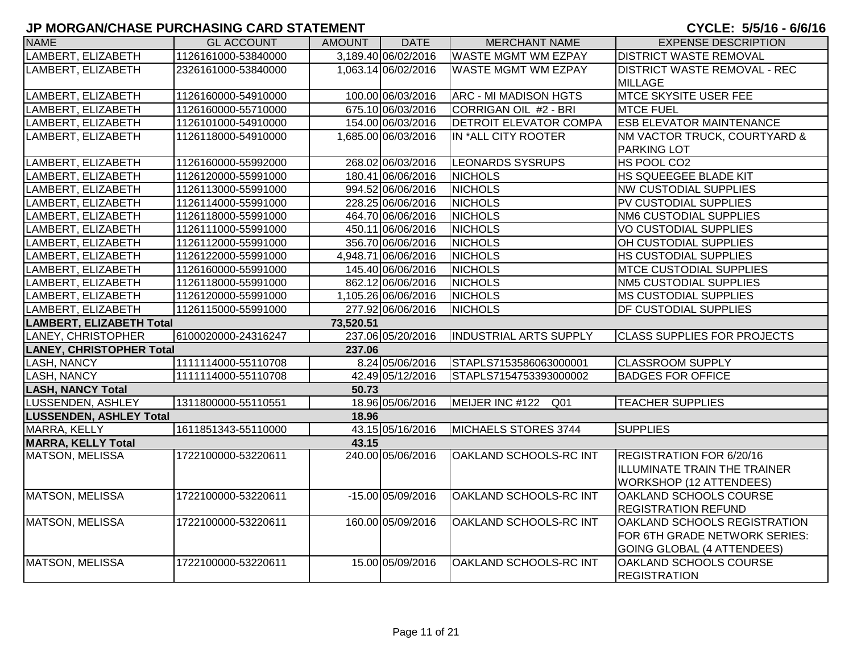| <b>NAME</b>                     | <b>GL ACCOUNT</b>   | AMOUNT    | <b>DATE</b>         | <b>MERCHANT NAME</b>          | <b>EXPENSE DESCRIPTION</b>          |
|---------------------------------|---------------------|-----------|---------------------|-------------------------------|-------------------------------------|
| LAMBERT, ELIZABETH              | 1126161000-53840000 |           | 3,189.40 06/02/2016 | <b>WASTE MGMT WM EZPAY</b>    | <b>DISTRICT WASTE REMOVAL</b>       |
| LAMBERT, ELIZABETH              | 2326161000-53840000 |           | 1,063.14 06/02/2016 | <b>WASTE MGMT WM EZPAY</b>    | <b>DISTRICT WASTE REMOVAL - REC</b> |
|                                 |                     |           |                     |                               | <b>MILLAGE</b>                      |
| LAMBERT, ELIZABETH              | 1126160000-54910000 |           | 100.00 06/03/2016   | <b>ARC - MI MADISON HGTS</b>  | <b>MTCE SKYSITE USER FEE</b>        |
| LAMBERT, ELIZABETH              | 1126160000-55710000 |           | 675.10 06/03/2016   | CORRIGAN OIL #2 - BRI         | <b>MTCE FUEL</b>                    |
| LAMBERT, ELIZABETH              | 1126101000-54910000 |           | 154.00 06/03/2016   | <b>DETROIT ELEVATOR COMPA</b> | <b>ESB ELEVATOR MAINTENANCE</b>     |
| LAMBERT, ELIZABETH              | 1126118000-54910000 |           | 1,685.00 06/03/2016 | IN *ALL CITY ROOTER           | NM VACTOR TRUCK, COURTYARD &        |
|                                 |                     |           |                     |                               | <b>PARKING LOT</b>                  |
| LAMBERT, ELIZABETH              | 1126160000-55992000 |           | 268.02 06/03/2016   | <b>LEONARDS SYSRUPS</b>       | HS POOL CO2                         |
| LAMBERT, ELIZABETH              | 1126120000-55991000 |           | 180.41 06/06/2016   | <b>NICHOLS</b>                | HS SQUEEGEE BLADE KIT               |
| LAMBERT, ELIZABETH              | 1126113000-55991000 |           | 994.52 06/06/2016   | <b>NICHOLS</b>                | <b>NW CUSTODIAL SUPPLIES</b>        |
| LAMBERT, ELIZABETH              | 1126114000-55991000 |           | 228.25 06/06/2016   | <b>NICHOLS</b>                | PV CUSTODIAL SUPPLIES               |
| LAMBERT, ELIZABETH              | 1126118000-55991000 |           | 464.70 06/06/2016   | <b>NICHOLS</b>                | <b>NM6 CUSTODIAL SUPPLIES</b>       |
| LAMBERT, ELIZABETH              | 1126111000-55991000 |           | 450.11 06/06/2016   | <b>NICHOLS</b>                | <b>VO CUSTODIAL SUPPLIES</b>        |
| LAMBERT, ELIZABETH              | 1126112000-55991000 |           | 356.70 06/06/2016   | <b>NICHOLS</b>                | OH CUSTODIAL SUPPLIES               |
| LAMBERT, ELIZABETH              | 1126122000-55991000 |           | 4,948.71 06/06/2016 | <b>NICHOLS</b>                | HS CUSTODIAL SUPPLIES               |
| LAMBERT, ELIZABETH              | 1126160000-55991000 |           | 145.40 06/06/2016   | <b>NICHOLS</b>                | MTCE CUSTODIAL SUPPLIES             |
| LAMBERT, ELIZABETH              | 1126118000-55991000 |           | 862.12 06/06/2016   | <b>NICHOLS</b>                | <b>NM5 CUSTODIAL SUPPLIES</b>       |
| LAMBERT, ELIZABETH              | 1126120000-55991000 |           | 1,105.26 06/06/2016 | <b>NICHOLS</b>                | <b>MS CUSTODIAL SUPPLIES</b>        |
| LAMBERT, ELIZABETH              | 1126115000-55991000 |           | 277.92 06/06/2016   | <b>NICHOLS</b>                | DF CUSTODIAL SUPPLIES               |
| <b>LAMBERT, ELIZABETH Total</b> |                     | 73,520.51 |                     |                               |                                     |
| LANEY, CHRISTOPHER              | 6100020000-24316247 |           | 237.06 05/20/2016   | <b>INDUSTRIAL ARTS SUPPLY</b> | <b>CLASS SUPPLIES FOR PROJECTS</b>  |
| <b>LANEY, CHRISTOPHER Total</b> |                     | 237.06    |                     |                               |                                     |
| <b>LASH, NANCY</b>              | 1111114000-55110708 |           | 8.24 05/06/2016     | STAPLS7153586063000001        | <b>CLASSROOM SUPPLY</b>             |
| <b>LASH, NANCY</b>              | 1111114000-55110708 |           | 42.49 05/12/2016    | STAPLS7154753393000002        | <b>BADGES FOR OFFICE</b>            |
| <b>LASH, NANCY Total</b>        |                     | 50.73     |                     |                               |                                     |
| LUSSENDEN, ASHLEY               | 1311800000-55110551 |           | 18.96 05/06/2016    | MEIJER INC #122<br>Q01        | <b>TEACHER SUPPLIES</b>             |
| <b>LUSSENDEN, ASHLEY Total</b>  |                     | 18.96     |                     |                               |                                     |
| MARRA, KELLY                    | 1611851343-55110000 |           | 43.15 05/16/2016    | MICHAELS STORES 3744          | <b>SUPPLIES</b>                     |
| <b>MARRA, KELLY Total</b>       |                     | 43.15     |                     |                               |                                     |
| <b>MATSON, MELISSA</b>          | 1722100000-53220611 |           | 240.00 05/06/2016   | OAKLAND SCHOOLS-RC INT        | REGISTRATION FOR 6/20/16            |
|                                 |                     |           |                     |                               | ILLUMINATE TRAIN THE TRAINER        |
|                                 |                     |           |                     |                               | <b>WORKSHOP (12 ATTENDEES)</b>      |
| <b>MATSON, MELISSA</b>          | 1722100000-53220611 |           | $-15.00$ 05/09/2016 | OAKLAND SCHOOLS-RC INT        | OAKLAND SCHOOLS COURSE              |
|                                 |                     |           |                     |                               | <b>REGISTRATION REFUND</b>          |
| <b>MATSON, MELISSA</b>          | 1722100000-53220611 |           | 160.00 05/09/2016   | OAKLAND SCHOOLS-RC INT        | OAKLAND SCHOOLS REGISTRATION        |
|                                 |                     |           |                     |                               | FOR 6TH GRADE NETWORK SERIES:       |
|                                 |                     |           |                     |                               | GOING GLOBAL (4 ATTENDEES)          |
| <b>MATSON, MELISSA</b>          | 1722100000-53220611 |           | 15.00 05/09/2016    | OAKLAND SCHOOLS-RC INT        | OAKLAND SCHOOLS COURSE              |
|                                 |                     |           |                     |                               | <b>REGISTRATION</b>                 |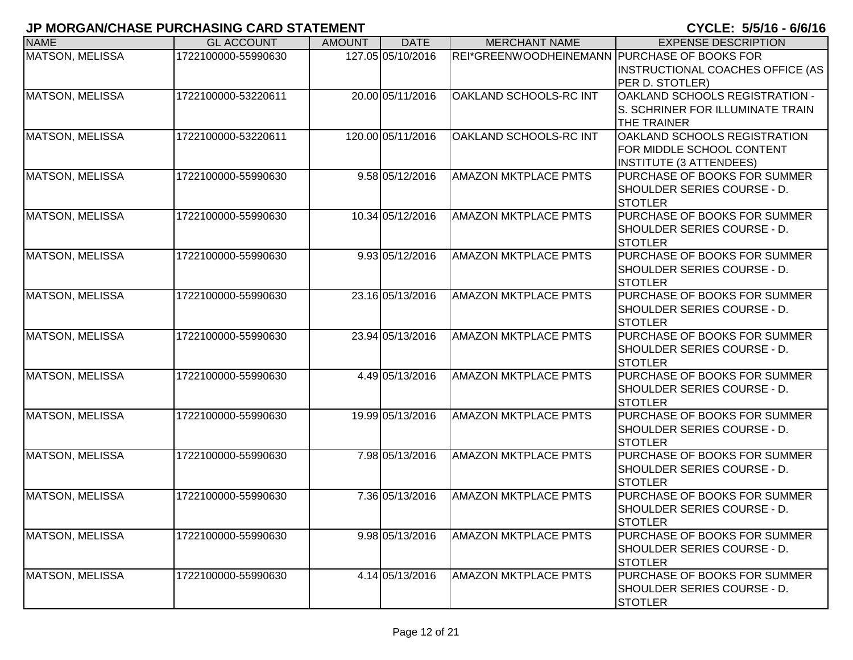| <b>NAME</b>            | <b>GL ACCOUNT</b>   | <b>AMOUNT</b> | <b>DATE</b>       | <b>MERCHANT NAME</b>                         | <b>EXPENSE DESCRIPTION</b>                                                                  |
|------------------------|---------------------|---------------|-------------------|----------------------------------------------|---------------------------------------------------------------------------------------------|
| <b>MATSON, MELISSA</b> | 1722100000-55990630 |               | 127.05 05/10/2016 | REI*GREENWOODHEINEMANN PURCHASE OF BOOKS FOR | <b>INSTRUCTIONAL COACHES OFFICE (AS</b><br>PER D. STOTLER)                                  |
| <b>MATSON, MELISSA</b> | 1722100000-53220611 |               | 20.00 05/11/2016  | OAKLAND SCHOOLS-RC INT                       | OAKLAND SCHOOLS REGISTRATION -<br>S. SCHRINER FOR ILLUMINATE TRAIN<br><b>THE TRAINER</b>    |
| <b>MATSON, MELISSA</b> | 1722100000-53220611 |               | 120.00 05/11/2016 | OAKLAND SCHOOLS-RC INT                       | OAKLAND SCHOOLS REGISTRATION<br>FOR MIDDLE SCHOOL CONTENT<br><b>INSTITUTE (3 ATTENDEES)</b> |
| <b>MATSON, MELISSA</b> | 1722100000-55990630 |               | 9.58 05/12/2016   | <b>AMAZON MKTPLACE PMTS</b>                  | <b>PURCHASE OF BOOKS FOR SUMMER</b><br>SHOULDER SERIES COURSE - D.<br><b>STOTLER</b>        |
| <b>MATSON, MELISSA</b> | 1722100000-55990630 |               | 10.34 05/12/2016  | <b>AMAZON MKTPLACE PMTS</b>                  | <b>PURCHASE OF BOOKS FOR SUMMER</b><br>SHOULDER SERIES COURSE - D.<br><b>STOTLER</b>        |
| <b>MATSON, MELISSA</b> | 1722100000-55990630 |               | 9.93 05/12/2016   | <b>AMAZON MKTPLACE PMTS</b>                  | <b>PURCHASE OF BOOKS FOR SUMMER</b><br>SHOULDER SERIES COURSE - D.<br><b>STOTLER</b>        |
| <b>MATSON, MELISSA</b> | 1722100000-55990630 |               | 23.16 05/13/2016  | <b>AMAZON MKTPLACE PMTS</b>                  | PURCHASE OF BOOKS FOR SUMMER<br>SHOULDER SERIES COURSE - D.<br><b>STOTLER</b>               |
| <b>MATSON, MELISSA</b> | 1722100000-55990630 |               | 23.94 05/13/2016  | <b>AMAZON MKTPLACE PMTS</b>                  | PURCHASE OF BOOKS FOR SUMMER<br>SHOULDER SERIES COURSE - D.<br><b>STOTLER</b>               |
| MATSON, MELISSA        | 1722100000-55990630 |               | 4.49 05/13/2016   | <b>AMAZON MKTPLACE PMTS</b>                  | PURCHASE OF BOOKS FOR SUMMER<br>SHOULDER SERIES COURSE - D.<br><b>STOTLER</b>               |
| <b>MATSON, MELISSA</b> | 1722100000-55990630 |               | 19.99 05/13/2016  | <b>AMAZON MKTPLACE PMTS</b>                  | PURCHASE OF BOOKS FOR SUMMER<br>SHOULDER SERIES COURSE - D.<br><b>ISTOTLER</b>              |
| <b>MATSON, MELISSA</b> | 1722100000-55990630 |               | 7.98 05/13/2016   | <b>AMAZON MKTPLACE PMTS</b>                  | <b>PURCHASE OF BOOKS FOR SUMMER</b><br>SHOULDER SERIES COURSE - D.<br><b>STOTLER</b>        |
| <b>MATSON, MELISSA</b> | 1722100000-55990630 |               | 7.36 05/13/2016   | <b>AMAZON MKTPLACE PMTS</b>                  | PURCHASE OF BOOKS FOR SUMMER<br>SHOULDER SERIES COURSE - D.<br><b>STOTLER</b>               |
| <b>MATSON, MELISSA</b> | 1722100000-55990630 |               | 9.98 05/13/2016   | <b>AMAZON MKTPLACE PMTS</b>                  | PURCHASE OF BOOKS FOR SUMMER<br>SHOULDER SERIES COURSE - D.<br><b>STOTLER</b>               |
| <b>MATSON, MELISSA</b> | 1722100000-55990630 |               | 4.14 05/13/2016   | <b>AMAZON MKTPLACE PMTS</b>                  | <b>PURCHASE OF BOOKS FOR SUMMER</b><br>SHOULDER SERIES COURSE - D.<br><b>STOTLER</b>        |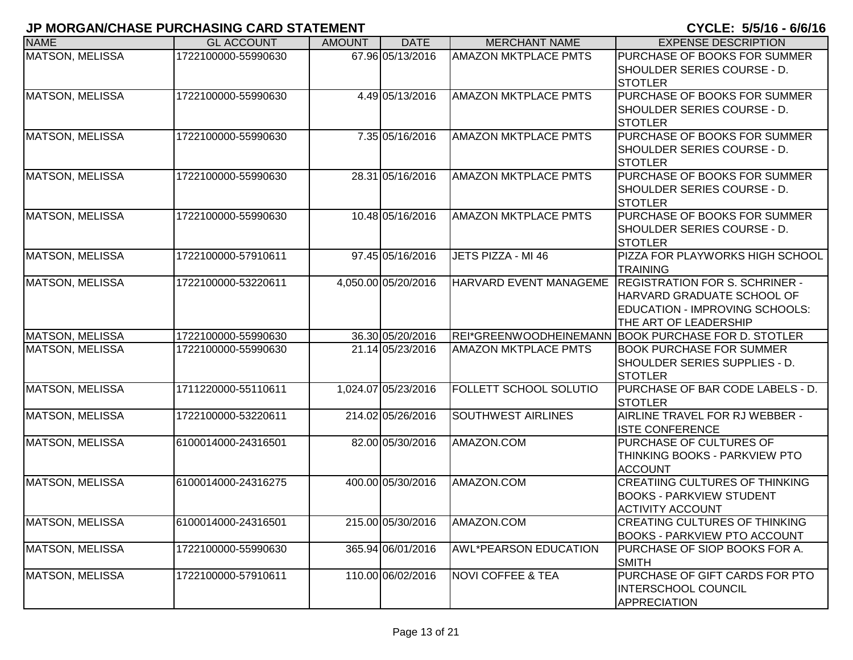| <b>NAME</b>            | <b>GL ACCOUNT</b>   | <b>AMOUNT</b> | <b>DATE</b>         | <b>MERCHANT NAME</b>         | <b>EXPENSE DESCRIPTION</b>                                                                                                     |
|------------------------|---------------------|---------------|---------------------|------------------------------|--------------------------------------------------------------------------------------------------------------------------------|
| <b>MATSON, MELISSA</b> | 1722100000-55990630 |               | 67.96 05/13/2016    | <b>AMAZON MKTPLACE PMTS</b>  | PURCHASE OF BOOKS FOR SUMMER<br>SHOULDER SERIES COURSE - D.<br><b>STOTLER</b>                                                  |
| MATSON, MELISSA        | 1722100000-55990630 |               | 4.49 05/13/2016     | <b>AMAZON MKTPLACE PMTS</b>  | PURCHASE OF BOOKS FOR SUMMER<br>SHOULDER SERIES COURSE - D.<br><b>STOTLER</b>                                                  |
| MATSON, MELISSA        | 1722100000-55990630 |               | 7.35 05/16/2016     | <b>AMAZON MKTPLACE PMTS</b>  | PURCHASE OF BOOKS FOR SUMMER<br>SHOULDER SERIES COURSE - D.<br><b>STOTLER</b>                                                  |
| <b>MATSON, MELISSA</b> | 1722100000-55990630 |               | 28.31 05/16/2016    | <b>AMAZON MKTPLACE PMTS</b>  | PURCHASE OF BOOKS FOR SUMMER<br>SHOULDER SERIES COURSE - D.<br><b>STOTLER</b>                                                  |
| MATSON, MELISSA        | 1722100000-55990630 |               | 10.48 05/16/2016    | <b>AMAZON MKTPLACE PMTS</b>  | PURCHASE OF BOOKS FOR SUMMER<br>SHOULDER SERIES COURSE - D.<br><b>STOTLER</b>                                                  |
| <b>MATSON, MELISSA</b> | 1722100000-57910611 |               | 97.45 05/16/2016    | JETS PIZZA - MI 46           | PIZZA FOR PLAYWORKS HIGH SCHOOL<br><b>TRAINING</b>                                                                             |
| <b>MATSON, MELISSA</b> | 1722100000-53220611 |               | 4,050.00 05/20/2016 | HARVARD EVENT MANAGEME       | <b>REGISTRATION FOR S. SCHRINER -</b><br>HARVARD GRADUATE SCHOOL OF<br>EDUCATION - IMPROVING SCHOOLS:<br>THE ART OF LEADERSHIP |
| <b>MATSON, MELISSA</b> | 1722100000-55990630 |               | 36.30 05/20/2016    |                              | REI*GREENWOODHEINEMANN BOOK PURCHASE FOR D. STOTLER                                                                            |
| <b>MATSON, MELISSA</b> | 1722100000-55990630 |               | 21.14 05/23/2016    | <b>AMAZON MKTPLACE PMTS</b>  | <b>BOOK PURCHASE FOR SUMMER</b><br>SHOULDER SERIES SUPPLIES - D.<br><b>STOTLER</b>                                             |
| <b>MATSON, MELISSA</b> | 1711220000-55110611 |               | 1,024.07 05/23/2016 | FOLLETT SCHOOL SOLUTIO       | PURCHASE OF BAR CODE LABELS - D.<br><b>STOTLER</b>                                                                             |
| <b>MATSON, MELISSA</b> | 1722100000-53220611 |               | 214.02 05/26/2016   | <b>SOUTHWEST AIRLINES</b>    | AIRLINE TRAVEL FOR RJ WEBBER -<br><b>ISTE CONFERENCE</b>                                                                       |
| MATSON, MELISSA        | 6100014000-24316501 |               | 82.00 05/30/2016    | AMAZON.COM                   | PURCHASE OF CULTURES OF<br>THINKING BOOKS - PARKVIEW PTO<br><b>ACCOUNT</b>                                                     |
| MATSON, MELISSA        | 6100014000-24316275 |               | 400.00 05/30/2016   | AMAZON.COM                   | <b>CREATIING CULTURES OF THINKING</b><br><b>BOOKS - PARKVIEW STUDENT</b><br><b>ACTIVITY ACCOUNT</b>                            |
| MATSON, MELISSA        | 6100014000-24316501 |               | 215.00 05/30/2016   | AMAZON.COM                   | <b>CREATING CULTURES OF THINKING</b><br><b>BOOKS - PARKVIEW PTO ACCOUNT</b>                                                    |
| MATSON, MELISSA        | 1722100000-55990630 |               | 365.94 06/01/2016   | <b>AWL*PEARSON EDUCATION</b> | PURCHASE OF SIOP BOOKS FOR A.<br><b>SMITH</b>                                                                                  |
| MATSON, MELISSA        | 1722100000-57910611 |               | 110.00 06/02/2016   | <b>NOVI COFFEE &amp; TEA</b> | PURCHASE OF GIFT CARDS FOR PTO<br><b>INTERSCHOOL COUNCIL</b><br><b>APPRECIATION</b>                                            |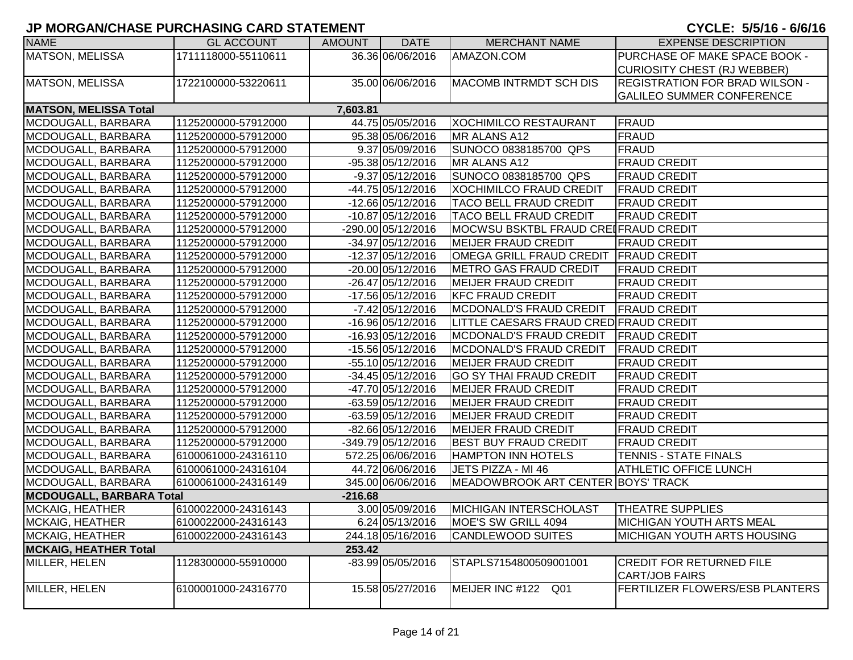| <b>NAME</b>                     | <b>GL ACCOUNT</b>   | <b>AMOUNT</b> | <b>DATE</b>         | <b>MERCHANT NAME</b>                   | <b>EXPENSE DESCRIPTION</b>            |
|---------------------------------|---------------------|---------------|---------------------|----------------------------------------|---------------------------------------|
| <b>MATSON, MELISSA</b>          | 1711118000-55110611 |               | 36.36 06/06/2016    | AMAZON.COM                             | PURCHASE OF MAKE SPACE BOOK -         |
|                                 |                     |               |                     |                                        | <b>CURIOSITY CHEST (RJ WEBBER)</b>    |
| MATSON, MELISSA                 | 1722100000-53220611 |               | 35.00 06/06/2016    | <b>MACOMB INTRMDT SCH DIS</b>          | <b>REGISTRATION FOR BRAD WILSON -</b> |
|                                 |                     |               |                     |                                        | <b>GALILEO SUMMER CONFERENCE</b>      |
| <b>MATSON, MELISSA Total</b>    |                     | 7,603.81      |                     |                                        |                                       |
| MCDOUGALL, BARBARA              | 1125200000-57912000 |               | 44.75 05/05/2016    | <b>XOCHIMILCO RESTAURANT</b>           | FRAUD                                 |
| MCDOUGALL, BARBARA              | 1125200000-57912000 |               | 95.38 05/06/2016    | MR ALANS A12                           | <b>FRAUD</b>                          |
| MCDOUGALL, BARBARA              | 1125200000-57912000 |               | 9.37 05/09/2016     | SUNOCO 0838185700 QPS                  | <b>FRAUD</b>                          |
| MCDOUGALL, BARBARA              | 1125200000-57912000 |               | -95.38 05/12/2016   | MR ALANS A12                           | <b>FRAUD CREDIT</b>                   |
| MCDOUGALL, BARBARA              | 1125200000-57912000 |               | $-9.37 05/12/2016$  | SUNOCO 0838185700 QPS                  | <b>FRAUD CREDIT</b>                   |
| MCDOUGALL, BARBARA              | 1125200000-57912000 |               | -44.75 05/12/2016   | <b>XOCHIMILCO FRAUD CREDIT</b>         | <b>FRAUD CREDIT</b>                   |
| MCDOUGALL, BARBARA              | 1125200000-57912000 |               | -12.66 05/12/2016   | <b>TACO BELL FRAUD CREDIT</b>          | <b>FRAUD CREDIT</b>                   |
| MCDOUGALL, BARBARA              | 1125200000-57912000 |               | $-10.87$ 05/12/2016 | <b>TACO BELL FRAUD CREDIT</b>          | <b>FRAUD CREDIT</b>                   |
| MCDOUGALL, BARBARA              | 1125200000-57912000 |               | -290.00 05/12/2016  | MOCWSU BSKTBL FRAUD CREIFRAUD CREDIT   |                                       |
| MCDOUGALL, BARBARA              | 1125200000-57912000 |               | -34.97 05/12/2016   | <b>MEIJER FRAUD CREDIT</b>             | <b>FRAUD CREDIT</b>                   |
| MCDOUGALL, BARBARA              | 1125200000-57912000 |               | -12.37 05/12/2016   | <b>OMEGA GRILL FRAUD CREDIT</b>        | <b>TFRAUD CREDIT</b>                  |
| MCDOUGALL, BARBARA              | 1125200000-57912000 |               | -20.00 05/12/2016   | <b>METRO GAS FRAUD CREDIT</b>          | <b>FRAUD CREDIT</b>                   |
| MCDOUGALL, BARBARA              | 1125200000-57912000 |               | -26.47 05/12/2016   | <b>MEIJER FRAUD CREDIT</b>             | <b>FRAUD CREDIT</b>                   |
| MCDOUGALL, BARBARA              | 1125200000-57912000 |               | -17.56 05/12/2016   | <b>KFC FRAUD CREDIT</b>                | <b>FRAUD CREDIT</b>                   |
| MCDOUGALL, BARBARA              | 1125200000-57912000 |               | $-7.42$ 05/12/2016  | <b>MCDONALD'S FRAUD CREDIT</b>         | <b>FRAUD CREDIT</b>                   |
| MCDOUGALL, BARBARA              | 1125200000-57912000 |               | -16.96 05/12/2016   | LITTLE CAESARS FRAUD CRED FRAUD CREDIT |                                       |
| MCDOUGALL, BARBARA              | 1125200000-57912000 |               | $-16.93 05/12/2016$ | <b>MCDONALD'S FRAUD CREDIT</b>         | <b>FRAUD CREDIT</b>                   |
| MCDOUGALL, BARBARA              | 1125200000-57912000 |               | -15.56 05/12/2016   | <b>IMCDONALD'S FRAUD CREDIT</b>        | <b>FRAUD CREDIT</b>                   |
| MCDOUGALL, BARBARA              | 1125200000-57912000 |               | -55.10 05/12/2016   | <b>MEIJER FRAUD CREDIT</b>             | <b>FRAUD CREDIT</b>                   |
| MCDOUGALL, BARBARA              | 1125200000-57912000 |               | -34.45 05/12/2016   | <b>GO SY THAI FRAUD CREDIT</b>         | <b>FRAUD CREDIT</b>                   |
| MCDOUGALL, BARBARA              | 1125200000-57912000 |               | -47.70 05/12/2016   | <b>MEIJER FRAUD CREDIT</b>             | <b>FRAUD CREDIT</b>                   |
| MCDOUGALL, BARBARA              | 1125200000-57912000 |               | -63.59 05/12/2016   | <b>MEIJER FRAUD CREDIT</b>             | <b>FRAUD CREDIT</b>                   |
| MCDOUGALL, BARBARA              | 1125200000-57912000 |               | -63.59 05/12/2016   | <b>MEIJER FRAUD CREDIT</b>             | <b>FRAUD CREDIT</b>                   |
| MCDOUGALL, BARBARA              | 1125200000-57912000 |               | -82.66 05/12/2016   | <b>MEIJER FRAUD CREDIT</b>             | <b>FRAUD CREDIT</b>                   |
| MCDOUGALL, BARBARA              | 1125200000-57912000 |               | -349.79 05/12/2016  | <b>BEST BUY FRAUD CREDIT</b>           | <b>FRAUD CREDIT</b>                   |
| MCDOUGALL, BARBARA              | 6100061000-24316110 |               | 572.25 06/06/2016   | <b>HAMPTON INN HOTELS</b>              | TENNIS - STATE FINALS                 |
| MCDOUGALL, BARBARA              | 6100061000-24316104 |               | 44.72 06/06/2016    | JETS PIZZA - MI 46                     | <b>ATHLETIC OFFICE LUNCH</b>          |
| MCDOUGALL, BARBARA              | 6100061000-24316149 |               | 345.00 06/06/2016   | MEADOWBROOK ART CENTER BOYS' TRACK     |                                       |
| <b>MCDOUGALL, BARBARA Total</b> |                     | $-216.68$     |                     |                                        |                                       |
| MCKAIG, HEATHER                 | 6100022000-24316143 |               | 3.00 05/09/2016     | MICHIGAN INTERSCHOLAST                 | <b>THEATRE SUPPLIES</b>               |
| MCKAIG, HEATHER                 | 6100022000-24316143 |               | 6.24 05/13/2016     | MOE'S SW GRILL 4094                    | <b>MICHIGAN YOUTH ARTS MEAL</b>       |
| MCKAIG, HEATHER                 | 6100022000-24316143 |               | 244.18 05/16/2016   | <b>CANDLEWOOD SUITES</b>               | <b>MICHIGAN YOUTH ARTS HOUSING</b>    |
| <b>MCKAIG, HEATHER Total</b>    |                     | 253.42        |                     |                                        |                                       |
| MILLER, HELEN                   | 1128300000-55910000 |               | -83.99 05/05/2016   | STAPLS7154800509001001                 | <b>CREDIT FOR RETURNED FILE</b>       |
|                                 | 6100001000-24316770 |               |                     |                                        | <b>CART/JOB FAIRS</b>                 |
| MILLER, HELEN                   |                     |               | 15.58 05/27/2016    | MEIJER INC #122 Q01                    | FERTILIZER FLOWERS/ESB PLANTERS       |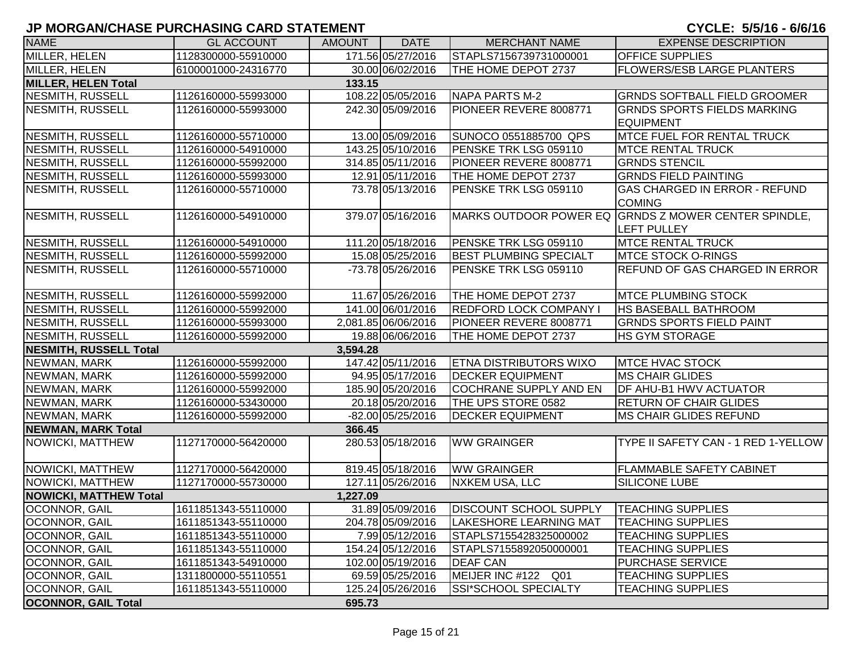| וושושות וסוס שוושהווסווויטווויט ושמווס שהושיוטוויו |                     |               |                     |                               |                                                                            |
|----------------------------------------------------|---------------------|---------------|---------------------|-------------------------------|----------------------------------------------------------------------------|
| <b>NAME</b>                                        | <b>GL ACCOUNT</b>   | <b>AMOUNT</b> | <b>DATE</b>         | <b>MERCHANT NAME</b>          | <b>EXPENSE DESCRIPTION</b>                                                 |
| MILLER, HELEN                                      | 1128300000-55910000 |               | 171.56 05/27/2016   | STAPLS7156739731000001        | <b>OFFICE SUPPLIES</b>                                                     |
| MILLER, HELEN                                      | 6100001000-24316770 |               | 30.00 06/02/2016    | THE HOME DEPOT 2737           | <b>FLOWERS/ESB LARGE PLANTERS</b>                                          |
| <b>MILLER, HELEN Total</b>                         |                     | 133.15        |                     |                               |                                                                            |
| <b>NESMITH, RUSSELL</b>                            | 1126160000-55993000 |               | 108.22 05/05/2016   | NAPA PARTS M-2                | <b>GRNDS SOFTBALL FIELD GROOMER</b>                                        |
| <b>NESMITH, RUSSELL</b>                            | 1126160000-55993000 |               | 242.30 05/09/2016   | PIONEER REVERE 8008771        | <b>GRNDS SPORTS FIELDS MARKING</b><br><b>EQUIPMENT</b>                     |
| NESMITH, RUSSELL                                   | 1126160000-55710000 |               | 13.00 05/09/2016    | SUNOCO 0551885700 QPS         | <b>MTCE FUEL FOR RENTAL TRUCK</b>                                          |
| <b>NESMITH, RUSSELL</b>                            | 1126160000-54910000 |               | 143.25 05/10/2016   | PENSKE TRK LSG 059110         | <b>MTCE RENTAL TRUCK</b>                                                   |
| <b>NESMITH, RUSSELL</b>                            | 1126160000-55992000 |               | 314.85 05/11/2016   | PIONEER REVERE 8008771        | <b>GRNDS STENCIL</b>                                                       |
| NESMITH, RUSSELL                                   | 1126160000-55993000 |               | 12.91 05/11/2016    | THE HOME DEPOT 2737           | <b>GRNDS FIELD PAINTING</b>                                                |
| NESMITH, RUSSELL                                   | 1126160000-55710000 |               | 73.78 05/13/2016    | PENSKE TRK LSG 059110         | <b>GAS CHARGED IN ERROR - REFUND</b><br><b>COMING</b>                      |
| <b>NESMITH, RUSSELL</b>                            | 1126160000-54910000 |               | 379.07 05/16/2016   |                               | MARKS OUTDOOR POWER EQ GRNDS Z MOWER CENTER SPINDLE,<br><b>LEFT PULLEY</b> |
| <b>NESMITH, RUSSELL</b>                            | 1126160000-54910000 |               | 111.20 05/18/2016   | PENSKE TRK LSG 059110         | <b>MTCE RENTAL TRUCK</b>                                                   |
| NESMITH, RUSSELL                                   | 1126160000-55992000 |               | 15.08 05/25/2016    | <b>BEST PLUMBING SPECIALT</b> | <b>MTCE STOCK O-RINGS</b>                                                  |
| NESMITH, RUSSELL                                   | 1126160000-55710000 |               | -73.78 05/26/2016   | PENSKE TRK LSG 059110         | <b>REFUND OF GAS CHARGED IN ERROR</b>                                      |
| NESMITH, RUSSELL                                   | 1126160000-55992000 |               | 11.67 05/26/2016    | THE HOME DEPOT 2737           | <b>MTCE PLUMBING STOCK</b>                                                 |
| <b>NESMITH, RUSSELL</b>                            | 1126160000-55992000 |               | 141.00 06/01/2016   | <b>REDFORD LOCK COMPANY I</b> | <b>HS BASEBALL BATHROOM</b>                                                |
| <b>NESMITH, RUSSELL</b>                            | 1126160000-55993000 |               | 2,081.85 06/06/2016 | PIONEER REVERE 8008771        | <b>GRNDS SPORTS FIELD PAINT</b>                                            |
| <b>NESMITH, RUSSELL</b>                            | 1126160000-55992000 |               | 19.88 06/06/2016    | THE HOME DEPOT 2737           | <b>HS GYM STORAGE</b>                                                      |
| <b>NESMITH, RUSSELL Total</b>                      |                     | 3.594.28      |                     |                               |                                                                            |
| NEWMAN, MARK                                       | 1126160000-55992000 |               | 147.42 05/11/2016   | <b>ETNA DISTRIBUTORS WIXO</b> | <b>MTCE HVAC STOCK</b>                                                     |
| NEWMAN, MARK                                       | 1126160000-55992000 |               | 94.95 05/17/2016    | <b>DECKER EQUIPMENT</b>       | <b>MS CHAIR GLIDES</b>                                                     |
| NEWMAN, MARK                                       | 1126160000-55992000 |               | 185.90 05/20/2016   | <b>COCHRANE SUPPLY AND EN</b> | <b>DF AHU-B1 HWV ACTUATOR</b>                                              |
| NEWMAN, MARK                                       | 1126160000-53430000 |               | 20.18 05/20/2016    | THE UPS STORE 0582            | <b>RETURN OF CHAIR GLIDES</b>                                              |
| NEWMAN, MARK                                       | 1126160000-55992000 |               | -82.00 05/25/2016   | <b>DECKER EQUIPMENT</b>       | MS CHAIR GLIDES REFUND                                                     |
| <b>NEWMAN, MARK Total</b>                          |                     | 366.45        |                     |                               |                                                                            |
| NOWICKI, MATTHEW                                   | 1127170000-56420000 |               | 280.53 05/18/2016   | <b>WW GRAINGER</b>            | TYPE II SAFETY CAN - 1 RED 1-YELLOW                                        |
| NOWICKI, MATTHEW                                   | 1127170000-56420000 |               | 819.45 05/18/2016   | <b>WW GRAINGER</b>            | <b>FLAMMABLE SAFETY CABINET</b>                                            |
| NOWICKI, MATTHEW                                   | 1127170000-55730000 |               | 127.11 05/26/2016   | <b>NXKEM USA, LLC</b>         | <b>SILICONE LUBE</b>                                                       |
| <b>NOWICKI, MATTHEW Total</b>                      |                     | 1,227.09      |                     |                               |                                                                            |
| <b>OCONNOR, GAIL</b>                               | 1611851343-55110000 |               | 31.89 05/09/2016    | <b>DISCOUNT SCHOOL SUPPLY</b> | <b>ITEACHING SUPPLIES</b>                                                  |
| OCONNOR, GAIL                                      | 1611851343-55110000 |               | 204.78 05/09/2016   | LAKESHORE LEARNING MAT        | <b>TEACHING SUPPLIES</b>                                                   |
| OCONNOR, GAIL                                      | 1611851343-55110000 |               | 7.99 05/12/2016     | STAPLS7155428325000002        | <b>TEACHING SUPPLIES</b>                                                   |
| <b>OCONNOR, GAIL</b>                               | 1611851343-55110000 |               | 154.24 05/12/2016   | STAPLS7155892050000001        | <b>TEACHING SUPPLIES</b>                                                   |
| OCONNOR, GAIL                                      | 1611851343-54910000 |               | 102.00 05/19/2016   | <b>DEAF CAN</b>               | <b>PURCHASE SERVICE</b>                                                    |
| OCONNOR, GAIL                                      | 1311800000-55110551 |               | 69.59 05/25/2016    | MEIJER INC #122 Q01           | <b>TEACHING SUPPLIES</b>                                                   |
| OCONNOR, GAIL                                      | 1611851343-55110000 |               | 125.24 05/26/2016   | SSI*SCHOOL SPECIALTY          | <b>TEACHING SUPPLIES</b>                                                   |
| <b>OCONNOR, GAIL Total</b>                         |                     | 695.73        |                     |                               |                                                                            |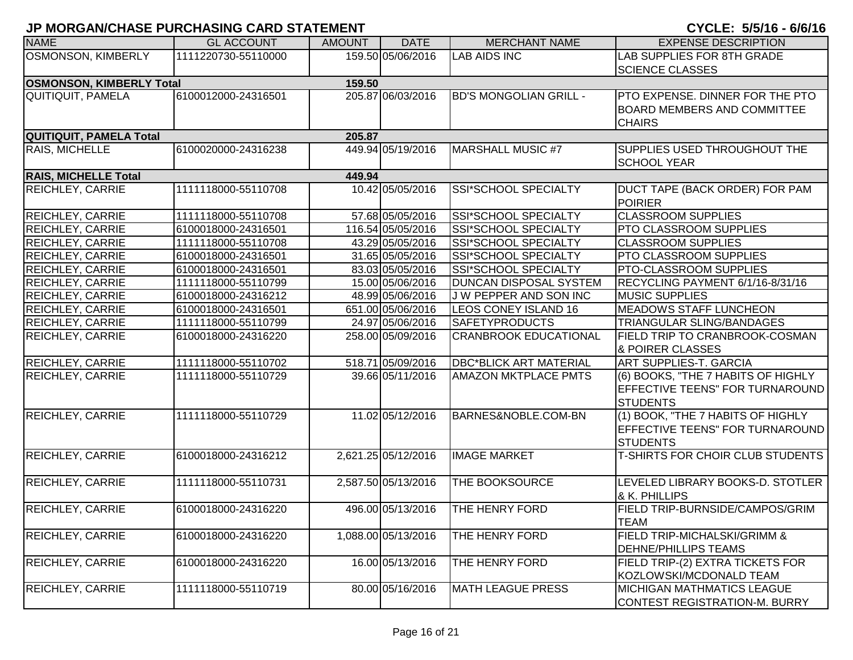| <b>NAME</b>                     | <b>GL ACCOUNT</b>   | <b>AMOUNT</b> | <b>DATE</b>         | <b>MERCHANT NAME</b>          | <b>EXPENSE DESCRIPTION</b>                                                               |
|---------------------------------|---------------------|---------------|---------------------|-------------------------------|------------------------------------------------------------------------------------------|
| OSMONSON, KIMBERLY              | 1111220730-55110000 |               | 159.50 05/06/2016   | <b>LAB AIDS INC</b>           | LAB SUPPLIES FOR 8TH GRADE<br><b>SCIENCE CLASSES</b>                                     |
| <b>OSMONSON, KIMBERLY Total</b> |                     | 159.50        |                     |                               |                                                                                          |
| <b>QUITIQUIT, PAMELA</b>        | 6100012000-24316501 |               | 205.87 06/03/2016   | <b>BD'S MONGOLIAN GRILL -</b> | PTO EXPENSE. DINNER FOR THE PTO<br><b>BOARD MEMBERS AND COMMITTEE</b><br><b>CHAIRS</b>   |
| QUITIQUIT, PAMELA Total         |                     | 205.87        |                     |                               |                                                                                          |
| <b>RAIS, MICHELLE</b>           | 6100020000-24316238 |               | 449.94 05/19/2016   | <b>MARSHALL MUSIC #7</b>      | SUPPLIES USED THROUGHOUT THE<br><b>SCHOOL YEAR</b>                                       |
| <b>RAIS, MICHELLE Total</b>     |                     | 449.94        |                     |                               |                                                                                          |
| <b>REICHLEY, CARRIE</b>         | 1111118000-55110708 |               | 10.42 05/05/2016    | SSI*SCHOOL SPECIALTY          | DUCT TAPE (BACK ORDER) FOR PAM<br><b>POIRIER</b>                                         |
| <b>REICHLEY, CARRIE</b>         | 1111118000-55110708 |               | 57.68 05/05/2016    | SSI*SCHOOL SPECIALTY          | <b>CLASSROOM SUPPLIES</b>                                                                |
| REICHLEY, CARRIE                | 6100018000-24316501 |               | 116.54 05/05/2016   | <b>SSI*SCHOOL SPECIALTY</b>   | PTO CLASSROOM SUPPLIES                                                                   |
| <b>REICHLEY, CARRIE</b>         | 1111118000-55110708 |               | 43.29 05/05/2016    | <b>SSI*SCHOOL SPECIALTY</b>   | <b>CLASSROOM SUPPLIES</b>                                                                |
| <b>REICHLEY, CARRIE</b>         | 6100018000-24316501 |               | 31.65 05/05/2016    | SSI*SCHOOL SPECIALTY          | PTO CLASSROOM SUPPLIES                                                                   |
| <b>REICHLEY, CARRIE</b>         | 6100018000-24316501 |               | 83.03 05/05/2016    | SSI*SCHOOL SPECIALTY          | <b>PTO-CLASSROOM SUPPLIES</b>                                                            |
| REICHLEY, CARRIE                | 1111118000-55110799 |               | 15.00 05/06/2016    | DUNCAN DISPOSAL SYSTEM        | RECYCLING PAYMENT 6/1/16-8/31/16                                                         |
| <b>REICHLEY, CARRIE</b>         | 6100018000-24316212 |               | 48.99 05/06/2016    | J W PEPPER AND SON INC        | <b>MUSIC SUPPLIES</b>                                                                    |
| <b>REICHLEY, CARRIE</b>         | 6100018000-24316501 |               | 651.00 05/06/2016   | LEOS CONEY ISLAND 16          | <b>MEADOWS STAFF LUNCHEON</b>                                                            |
| <b>REICHLEY, CARRIE</b>         | 1111118000-55110799 |               | 24.97 05/06/2016    | <b>SAFETYPRODUCTS</b>         | TRIANGULAR SLING/BANDAGES                                                                |
| <b>REICHLEY, CARRIE</b>         | 6100018000-24316220 |               | 258.00 05/09/2016   | <b>CRANBROOK EDUCATIONAL</b>  | FIELD TRIP TO CRANBROOK-COSMAN<br>& POIRER CLASSES                                       |
| <b>REICHLEY, CARRIE</b>         | 1111118000-55110702 |               | 518.71 05/09/2016   | <b>DBC*BLICK ART MATERIAL</b> | <b>ART SUPPLIES-T. GARCIA</b>                                                            |
| <b>REICHLEY, CARRIE</b>         | 1111118000-55110729 |               | 39.66 05/11/2016    | <b>AMAZON MKTPLACE PMTS</b>   | (6) BOOKS, "THE 7 HABITS OF HIGHLY<br>EFFECTIVE TEENS" FOR TURNAROUND<br><b>STUDENTS</b> |
| <b>REICHLEY, CARRIE</b>         | 1111118000-55110729 |               | 11.02 05/12/2016    | BARNES&NOBLE.COM-BN           | (1) BOOK, "THE 7 HABITS OF HIGHLY<br>EFFECTIVE TEENS" FOR TURNAROUND<br><b>STUDENTS</b>  |
| <b>REICHLEY, CARRIE</b>         | 6100018000-24316212 |               | 2,621.25 05/12/2016 | <b>IMAGE MARKET</b>           | <b>T-SHIRTS FOR CHOIR CLUB STUDENTS</b>                                                  |
| <b>REICHLEY, CARRIE</b>         | 1111118000-55110731 |               | 2,587.50 05/13/2016 | THE BOOKSOURCE                | LEVELED LIBRARY BOOKS-D. STOTLER<br>& K. PHILLIPS                                        |
| <b>REICHLEY, CARRIE</b>         | 6100018000-24316220 |               | 496.00 05/13/2016   | <b>THE HENRY FORD</b>         | FIELD TRIP-BURNSIDE/CAMPOS/GRIM<br><b>TEAM</b>                                           |
| <b>REICHLEY, CARRIE</b>         | 6100018000-24316220 |               | 1,088.00 05/13/2016 | THE HENRY FORD                | <b>FIELD TRIP-MICHALSKI/GRIMM &amp;</b><br><b>DEHNE/PHILLIPS TEAMS</b>                   |
| <b>REICHLEY, CARRIE</b>         | 6100018000-24316220 |               | 16.00 05/13/2016    | THE HENRY FORD                | FIELD TRIP-(2) EXTRA TICKETS FOR<br>KOZLOWSKI/MCDONALD TEAM                              |
| <b>REICHLEY, CARRIE</b>         | 1111118000-55110719 |               | 80.00 05/16/2016    | <b>MATH LEAGUE PRESS</b>      | <b>MICHIGAN MATHMATICS LEAGUE</b><br>CONTEST REGISTRATION-M. BURRY                       |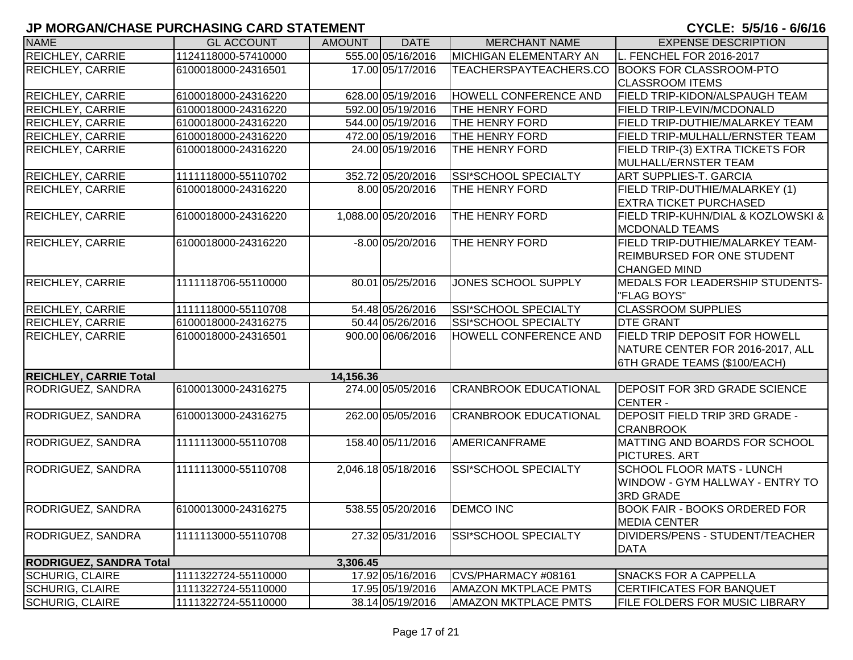| <b>NAME</b>                    | <b>GL ACCOUNT</b>   | <b>AMOUNT</b> | <b>DATE</b>         | <b>MERCHANT NAME</b>         | <b>EXPENSE DESCRIPTION</b>           |
|--------------------------------|---------------------|---------------|---------------------|------------------------------|--------------------------------------|
| <b>REICHLEY, CARRIE</b>        | 1124118000-57410000 |               | 555.00 05/16/2016   | MICHIGAN ELEMENTARY AN       | L. FENCHEL FOR 2016-2017             |
| <b>REICHLEY, CARRIE</b>        | 6100018000-24316501 |               | 17.00 05/17/2016    | TEACHERSPAYTEACHERS.CO       | <b>BOOKS FOR CLASSROOM-PTO</b>       |
|                                |                     |               |                     |                              | <b>CLASSROOM ITEMS</b>               |
| <b>REICHLEY, CARRIE</b>        | 6100018000-24316220 |               | 628.00 05/19/2016   | HOWELL CONFERENCE AND        | FIELD TRIP-KIDON/ALSPAUGH TEAM       |
| <b>REICHLEY, CARRIE</b>        | 6100018000-24316220 |               | 592.00 05/19/2016   | THE HENRY FORD               | <b>FIELD TRIP-LEVIN/MCDONALD</b>     |
| <b>REICHLEY, CARRIE</b>        | 6100018000-24316220 |               | 544.00 05/19/2016   | <b>THE HENRY FORD</b>        | FIELD TRIP-DUTHIE/MALARKEY TEAM      |
| <b>REICHLEY, CARRIE</b>        | 6100018000-24316220 |               | 472.00 05/19/2016   | <b>THE HENRY FORD</b>        | FIELD TRIP-MULHALL/ERNSTER TEAM      |
| <b>REICHLEY, CARRIE</b>        | 6100018000-24316220 |               | 24.00 05/19/2016    | THE HENRY FORD               | FIELD TRIP-(3) EXTRA TICKETS FOR     |
|                                |                     |               |                     |                              | MULHALL/ERNSTER TEAM                 |
| <b>REICHLEY, CARRIE</b>        | 1111118000-55110702 |               | 352.72 05/20/2016   | <b>SSI*SCHOOL SPECIALTY</b>  | <b>ART SUPPLIES-T. GARCIA</b>        |
| <b>REICHLEY, CARRIE</b>        | 6100018000-24316220 |               | 8.00 05/20/2016     | THE HENRY FORD               | FIELD TRIP-DUTHIE/MALARKEY (1)       |
|                                |                     |               |                     |                              | <b>EXTRA TICKET PURCHASED</b>        |
| <b>REICHLEY, CARRIE</b>        | 6100018000-24316220 |               | 1,088.00 05/20/2016 | THE HENRY FORD               | FIELD TRIP-KUHN/DIAL & KOZLOWSKI &   |
|                                |                     |               |                     |                              | <b>MCDONALD TEAMS</b>                |
| <b>REICHLEY, CARRIE</b>        | 6100018000-24316220 |               | $-8.00$ 05/20/2016  | THE HENRY FORD               | FIELD TRIP-DUTHIE/MALARKEY TEAM-     |
|                                |                     |               |                     |                              | <b>REIMBURSED FOR ONE STUDENT</b>    |
|                                |                     |               |                     |                              | <b>CHANGED MIND</b>                  |
| <b>REICHLEY, CARRIE</b>        | 1111118706-55110000 |               | 80.01 05/25/2016    | JONES SCHOOL SUPPLY          | MEDALS FOR LEADERSHIP STUDENTS-      |
|                                |                     |               |                     |                              | "FLAG BOYS"                          |
| <b>REICHLEY, CARRIE</b>        | 1111118000-55110708 |               | 54.48 05/26/2016    | SSI*SCHOOL SPECIALTY         | <b>CLASSROOM SUPPLIES</b>            |
| <b>REICHLEY, CARRIE</b>        | 6100018000-24316275 |               | 50.44 05/26/2016    | SSI*SCHOOL SPECIALTY         | <b>DTE GRANT</b>                     |
| <b>REICHLEY, CARRIE</b>        | 6100018000-24316501 |               | 900.00 06/06/2016   | <b>HOWELL CONFERENCE AND</b> | FIELD TRIP DEPOSIT FOR HOWELL        |
|                                |                     |               |                     |                              | NATURE CENTER FOR 2016-2017, ALL     |
|                                |                     |               |                     |                              | 6TH GRADE TEAMS (\$100/EACH)         |
| <b>REICHLEY, CARRIE Total</b>  |                     | 14,156.36     |                     |                              |                                      |
| <b>RODRIGUEZ, SANDRA</b>       | 6100013000-24316275 |               | 274.00 05/05/2016   | <b>CRANBROOK EDUCATIONAL</b> | <b>DEPOSIT FOR 3RD GRADE SCIENCE</b> |
|                                |                     |               |                     |                              | <b>CENTER -</b>                      |
| RODRIGUEZ, SANDRA              | 6100013000-24316275 |               | 262.00 05/05/2016   | <b>CRANBROOK EDUCATIONAL</b> | DEPOSIT FIELD TRIP 3RD GRADE -       |
|                                |                     |               |                     |                              | <b>CRANBROOK</b>                     |
| RODRIGUEZ, SANDRA              | 1111113000-55110708 |               | 158.40 05/11/2016   | <b>AMERICANFRAME</b>         | MATTING AND BOARDS FOR SCHOOL        |
|                                |                     |               |                     |                              | <b>PICTURES. ART</b>                 |
| RODRIGUEZ, SANDRA              | 1111113000-55110708 |               | 2,046.18 05/18/2016 | SSI*SCHOOL SPECIALTY         | <b>SCHOOL FLOOR MATS - LUNCH</b>     |
|                                |                     |               |                     |                              | WINDOW - GYM HALLWAY - ENTRY TO      |
|                                |                     |               |                     |                              | <b>3RD GRADE</b>                     |
| RODRIGUEZ, SANDRA              | 6100013000-24316275 |               | 538.55 05/20/2016   | <b>DEMCO INC</b>             | <b>BOOK FAIR - BOOKS ORDERED FOR</b> |
|                                |                     |               |                     |                              | <b>MEDIA CENTER</b>                  |
| <b>RODRIGUEZ, SANDRA</b>       | 1111113000-55110708 |               | 27.32 05/31/2016    | <b>SSI*SCHOOL SPECIALTY</b>  | DIVIDERS/PENS - STUDENT/TEACHER      |
|                                |                     |               |                     |                              | <b>DATA</b>                          |
| <b>RODRIGUEZ, SANDRA Total</b> |                     | 3,306.45      |                     |                              |                                      |
| <b>SCHURIG, CLAIRE</b>         | 1111322724-55110000 |               | 17.92 05/16/2016    | CVS/PHARMACY #08161          | <b>SNACKS FOR A CAPPELLA</b>         |
| <b>SCHURIG, CLAIRE</b>         | 1111322724-55110000 |               | 17.95 05/19/2016    | <b>AMAZON MKTPLACE PMTS</b>  | <b>CERTIFICATES FOR BANQUET</b>      |
| <b>SCHURIG, CLAIRE</b>         | 1111322724-55110000 |               | 38.14 05/19/2016    | <b>AMAZON MKTPLACE PMTS</b>  | FILE FOLDERS FOR MUSIC LIBRARY       |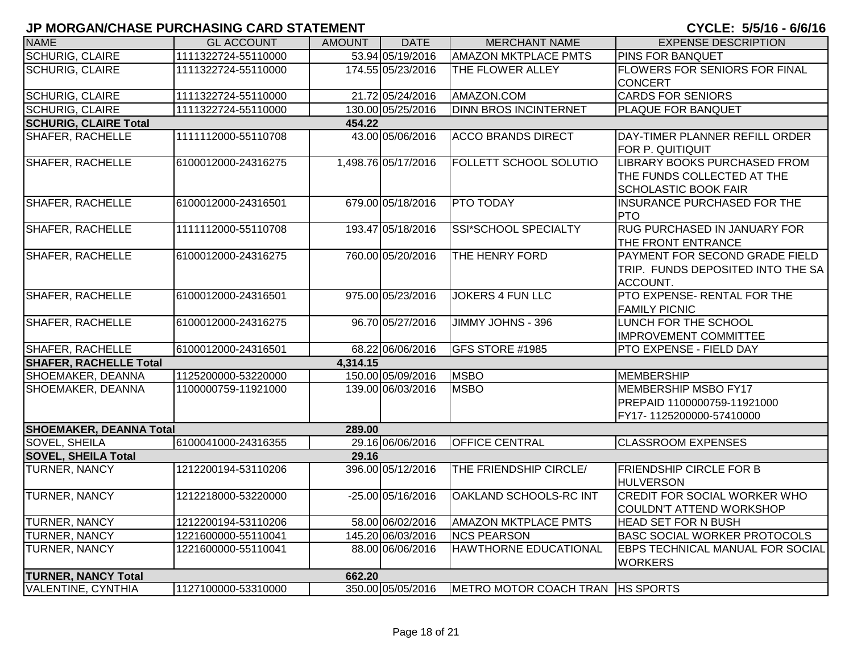| <b>NAME</b>                    | <b>GL ACCOUNT</b>   | <b>AMOUNT</b> | <b>DATE</b>         | <b>MERCHANT NAME</b>             | <b>EXPENSE DESCRIPTION</b>                                                                       |
|--------------------------------|---------------------|---------------|---------------------|----------------------------------|--------------------------------------------------------------------------------------------------|
| <b>SCHURIG, CLAIRE</b>         | 1111322724-55110000 |               | 53.94 05/19/2016    | <b>AMAZON MKTPLACE PMTS</b>      | <b>PINS FOR BANQUET</b>                                                                          |
| <b>SCHURIG, CLAIRE</b>         | 1111322724-55110000 |               | 174.55 05/23/2016   | THE FLOWER ALLEY                 | <b>FLOWERS FOR SENIORS FOR FINAL</b><br><b>CONCERT</b>                                           |
| <b>SCHURIG, CLAIRE</b>         | 1111322724-55110000 |               | 21.72 05/24/2016    | AMAZON.COM                       | <b>CARDS FOR SENIORS</b>                                                                         |
| <b>SCHURIG, CLAIRE</b>         | 1111322724-55110000 |               | 130.00 05/25/2016   | <b>DINN BROS INCINTERNET</b>     | PLAQUE FOR BANQUET                                                                               |
| <b>SCHURIG, CLAIRE Total</b>   |                     | 454.22        |                     |                                  |                                                                                                  |
| <b>SHAFER, RACHELLE</b>        | 1111112000-55110708 |               | 43.00 05/06/2016    | <b>ACCO BRANDS DIRECT</b>        | DAY-TIMER PLANNER REFILL ORDER<br>FOR P. QUITIQUIT                                               |
| <b>SHAFER, RACHELLE</b>        | 6100012000-24316275 |               | 1,498.76 05/17/2016 | <b>FOLLETT SCHOOL SOLUTIO</b>    | <b>LIBRARY BOOKS PURCHASED FROM</b><br>THE FUNDS COLLECTED AT THE<br><b>SCHOLASTIC BOOK FAIR</b> |
| <b>SHAFER, RACHELLE</b>        | 6100012000-24316501 |               | 679.00 05/18/2016   | <b>PTO TODAY</b>                 | <b>INSURANCE PURCHASED FOR THE</b><br><b>PTO</b>                                                 |
| <b>SHAFER, RACHELLE</b>        | 1111112000-55110708 |               | 193.47 05/18/2016   | SSI*SCHOOL SPECIALTY             | <b>RUG PURCHASED IN JANUARY FOR</b><br>THE FRONT ENTRANCE                                        |
| <b>SHAFER, RACHELLE</b>        | 6100012000-24316275 |               | 760.00 05/20/2016   | <b>THE HENRY FORD</b>            | <b>PAYMENT FOR SECOND GRADE FIELD</b><br>TRIP. FUNDS DEPOSITED INTO THE SA<br>ACCOUNT.           |
| <b>SHAFER, RACHELLE</b>        | 6100012000-24316501 |               | 975.00 05/23/2016   | <b>JOKERS 4 FUN LLC</b>          | PTO EXPENSE- RENTAL FOR THE<br><b>FAMILY PICNIC</b>                                              |
| SHAFER, RACHELLE               | 6100012000-24316275 |               | 96.70 05/27/2016    | JIMMY JOHNS - 396                | LUNCH FOR THE SCHOOL<br><b>IMPROVEMENT COMMITTEE</b>                                             |
| SHAFER, RACHELLE               | 6100012000-24316501 |               | 68.22 06/06/2016    | GFS STORE #1985                  | PTO EXPENSE - FIELD DAY                                                                          |
| <b>SHAFER, RACHELLE Total</b>  |                     | 4,314.15      |                     |                                  |                                                                                                  |
| SHOEMAKER, DEANNA              | 1125200000-53220000 |               | 150.00 05/09/2016   | <b>MSBO</b>                      | MEMBERSHIP                                                                                       |
| SHOEMAKER, DEANNA              | 1100000759-11921000 |               | 139.00 06/03/2016   | <b>MSBO</b>                      | MEMBERSHIP MSBO FY17<br>PREPAID 1100000759-11921000<br>FY17-1125200000-57410000                  |
| <b>SHOEMAKER, DEANNA Total</b> |                     | 289.00        |                     |                                  |                                                                                                  |
| <b>SOVEL, SHEILA</b>           | 6100041000-24316355 |               | 29.16 06/06/2016    | <b>OFFICE CENTRAL</b>            | <b>CLASSROOM EXPENSES</b>                                                                        |
| <b>SOVEL, SHEILA Total</b>     |                     | 29.16         |                     |                                  |                                                                                                  |
| TURNER, NANCY                  | 1212200194-53110206 |               | 396.00 05/12/2016   | THE FRIENDSHIP CIRCLE/           | <b>FRIENDSHIP CIRCLE FOR B</b><br><b>HULVERSON</b>                                               |
| <b>TURNER, NANCY</b>           | 1212218000-53220000 |               | $-25.00$ 05/16/2016 | <b>OAKLAND SCHOOLS-RC INT</b>    | <b>CREDIT FOR SOCIAL WORKER WHO</b><br>COULDN'T ATTEND WORKSHOP                                  |
| <b>TURNER, NANCY</b>           | 1212200194-53110206 |               | 58.00 06/02/2016    | <b>AMAZON MKTPLACE PMTS</b>      | <b>HEAD SET FOR N BUSH</b>                                                                       |
| <b>TURNER, NANCY</b>           | 1221600000-55110041 |               | 145.20 06/03/2016   | <b>NCS PEARSON</b>               | <b>BASC SOCIAL WORKER PROTOCOLS</b>                                                              |
| TURNER, NANCY                  | 1221600000-55110041 |               | 88.00 06/06/2016    | <b>HAWTHORNE EDUCATIONAL</b>     | <b>EBPS TECHNICAL MANUAL FOR SOCIAL</b><br><b>WORKERS</b>                                        |
| <b>TURNER, NANCY Total</b>     |                     | 662.20        |                     |                                  |                                                                                                  |
| <b>VALENTINE, CYNTHIA</b>      | 1127100000-53310000 |               | 350.00 05/05/2016   | METRO MOTOR COACH TRAN HS SPORTS |                                                                                                  |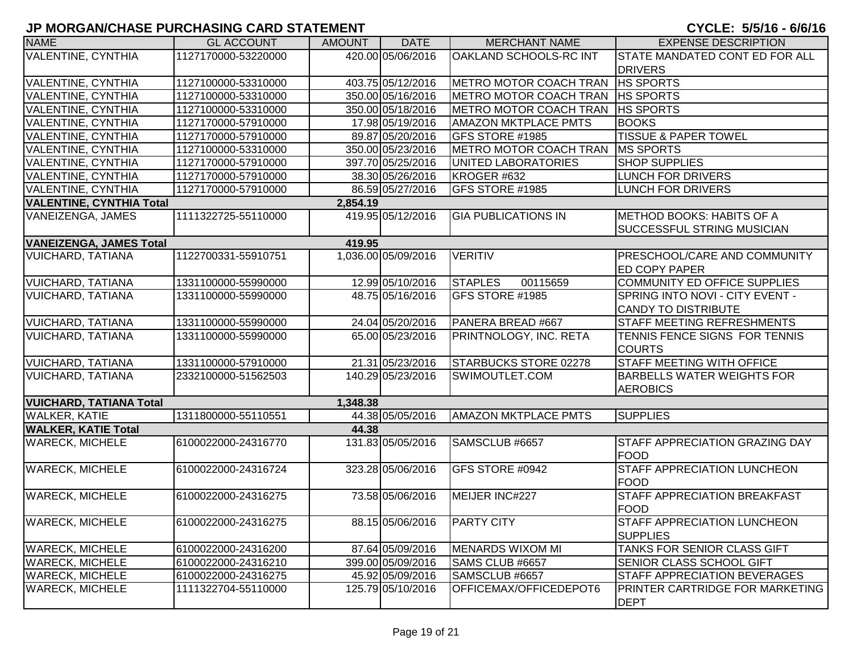| <b>NAME</b>                     | <b>GL ACCOUNT</b>   | <b>AMOUNT</b> | <b>DATE</b>         | <b>MERCHANT NAME</b>               | <b>EXPENSE DESCRIPTION</b>             |
|---------------------------------|---------------------|---------------|---------------------|------------------------------------|----------------------------------------|
| VALENTINE, CYNTHIA              | 1127170000-53220000 |               | 420.00 05/06/2016   | <b>OAKLAND SCHOOLS-RC INT</b>      | STATE MANDATED CONT ED FOR ALL         |
|                                 |                     |               |                     |                                    | <b>DRIVERS</b>                         |
| VALENTINE, CYNTHIA              | 1127100000-53310000 |               | 403.75 05/12/2016   | METRO MOTOR COACH TRAN   HS SPORTS |                                        |
| VALENTINE, CYNTHIA              | 1127100000-53310000 |               | 350.00 05/16/2016   | METRO MOTOR COACH TRAN   HS SPORTS |                                        |
| VALENTINE, CYNTHIA              | 1127100000-53310000 |               | 350.00 05/18/2016   | METRO MOTOR COACH TRAN   HS SPORTS |                                        |
| VALENTINE, CYNTHIA              | 1127170000-57910000 |               | 17.98 05/19/2016    | <b>AMAZON MKTPLACE PMTS</b>        | <b>BOOKS</b>                           |
| VALENTINE, CYNTHIA              | 1127170000-57910000 |               | 89.87 05/20/2016    | GFS STORE #1985                    | <b>TISSUE &amp; PAPER TOWEL</b>        |
| VALENTINE, CYNTHIA              | 1127100000-53310000 |               | 350.00 05/23/2016   | <b>METRO MOTOR COACH TRAN</b>      | <b>MS SPORTS</b>                       |
| VALENTINE, CYNTHIA              | 1127170000-57910000 |               | 397.70 05/25/2016   | UNITED LABORATORIES                | <b>SHOP SUPPLIES</b>                   |
| <b>VALENTINE, CYNTHIA</b>       | 1127170000-57910000 |               | 38.30 05/26/2016    | KROGER #632                        | <b>LUNCH FOR DRIVERS</b>               |
| VALENTINE, CYNTHIA              | 1127170000-57910000 |               | 86.59 05/27/2016    | GFS STORE #1985                    | <b>LUNCH FOR DRIVERS</b>               |
| <b>VALENTINE, CYNTHIA Total</b> |                     | 2,854.19      |                     |                                    |                                        |
| VANEIZENGA, JAMES               | 1111322725-55110000 |               | 419.95 05/12/2016   | <b>GIA PUBLICATIONS IN</b>         | METHOD BOOKS: HABITS OF A              |
|                                 |                     |               |                     |                                    | <b>SUCCESSFUL STRING MUSICIAN</b>      |
| <b>VANEIZENGA, JAMES Total</b>  |                     | 419.95        |                     |                                    |                                        |
| <b>VUICHARD, TATIANA</b>        | 1122700331-55910751 |               | 1,036.00 05/09/2016 | <b>VERITIV</b>                     | <b>PRESCHOOL/CARE AND COMMUNITY</b>    |
|                                 |                     |               |                     |                                    | <b>ED COPY PAPER</b>                   |
| VUICHARD, TATIANA               | 1331100000-55990000 |               | 12.99 05/10/2016    | <b>STAPLES</b><br>00115659         | COMMUNITY ED OFFICE SUPPLIES           |
| <b>VUICHARD, TATIANA</b>        | 1331100000-55990000 |               | 48.75 05/16/2016    | GFS STORE #1985                    | SPRING INTO NOVI - CITY EVENT -        |
|                                 |                     |               |                     |                                    | <b>CANDY TO DISTRIBUTE</b>             |
| <b>VUICHARD, TATIANA</b>        | 1331100000-55990000 |               | 24.04 05/20/2016    | PANERA BREAD #667                  | <b>STAFF MEETING REFRESHMENTS</b>      |
| <b>VUICHARD, TATIANA</b>        | 1331100000-55990000 |               | 65.00 05/23/2016    | PRINTNOLOGY, INC. RETA             | TENNIS FENCE SIGNS FOR TENNIS          |
|                                 |                     |               |                     |                                    | <b>COURTS</b>                          |
| VUICHARD, TATIANA               | 1331100000-57910000 |               | 21.31 05/23/2016    | STARBUCKS STORE 02278              | <b>STAFF MEETING WITH OFFICE</b>       |
| <b>VUICHARD, TATIANA</b>        | 2332100000-51562503 |               | 140.29 05/23/2016   | SWIMOUTLET.COM                     | <b>BARBELLS WATER WEIGHTS FOR</b>      |
|                                 |                     |               |                     |                                    | <b>AEROBICS</b>                        |
| <b>VUICHARD, TATIANA Total</b>  |                     | 1,348.38      |                     |                                    |                                        |
| WALKER, KATIE                   | 1311800000-55110551 |               | 44.38 05/05/2016    | <b>AMAZON MKTPLACE PMTS</b>        | <b>SUPPLIES</b>                        |
| <b>WALKER, KATIE Total</b>      |                     | 44.38         |                     |                                    |                                        |
| <b>WARECK, MICHELE</b>          | 6100022000-24316770 |               | 131.83 05/05/2016   | SAMSCLUB #6657                     | <b>STAFF APPRECIATION GRAZING DAY</b>  |
|                                 |                     |               |                     |                                    | <b>FOOD</b>                            |
| <b>WARECK, MICHELE</b>          | 6100022000-24316724 |               | 323.28 05/06/2016   | GFS STORE #0942                    | <b>STAFF APPRECIATION LUNCHEON</b>     |
|                                 |                     |               |                     |                                    | <b>FOOD</b>                            |
| <b>WARECK, MICHELE</b>          | 6100022000-24316275 |               | 73.58 05/06/2016    | MEIJER INC#227                     | <b>STAFF APPRECIATION BREAKFAST</b>    |
|                                 |                     |               |                     |                                    | <b>FOOD</b>                            |
| <b>WARECK, MICHELE</b>          | 6100022000-24316275 |               | 88.15 05/06/2016    | <b>PARTY CITY</b>                  | <b>STAFF APPRECIATION LUNCHEON</b>     |
|                                 |                     |               |                     |                                    | <b>SUPPLIES</b>                        |
| <b>WARECK, MICHELE</b>          | 6100022000-24316200 |               | 87.64 05/09/2016    | MENARDS WIXOM MI                   | TANKS FOR SENIOR CLASS GIFT            |
| <b>WARECK, MICHELE</b>          | 6100022000-24316210 |               | 399.00 05/09/2016   | SAMS CLUB #6657                    | <b>SENIOR CLASS SCHOOL GIFT</b>        |
| <b>WARECK, MICHELE</b>          | 6100022000-24316275 |               | 45.92 05/09/2016    | SAMSCLUB #6657                     | <b>STAFF APPRECIATION BEVERAGES</b>    |
| <b>WARECK, MICHELE</b>          | 1111322704-55110000 |               | 125.79 05/10/2016   | OFFICEMAX/OFFICEDEPOT6             | <b>PRINTER CARTRIDGE FOR MARKETING</b> |
|                                 |                     |               |                     |                                    | <b>DEPT</b>                            |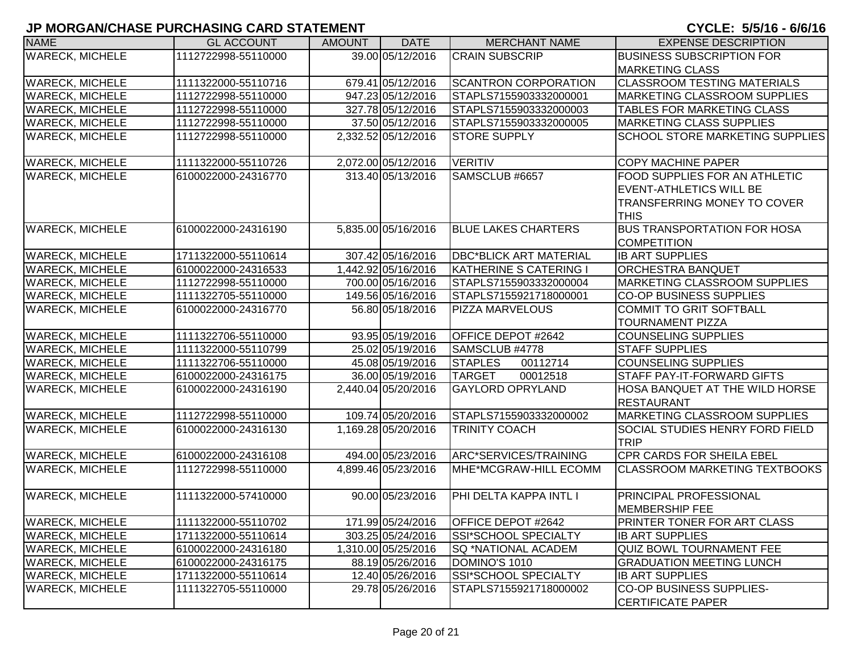| <b>NAME</b>            | <b>GL ACCOUNT</b>   | <b>AMOUNT</b> | <b>DATE</b>         | <b>MERCHANT NAME</b>          | <b>EXPENSE DESCRIPTION</b>                            |
|------------------------|---------------------|---------------|---------------------|-------------------------------|-------------------------------------------------------|
| <b>WARECK, MICHELE</b> | 1112722998-55110000 |               | 39.00 05/12/2016    | <b>CRAIN SUBSCRIP</b>         | <b>BUSINESS SUBSCRIPTION FOR</b>                      |
|                        |                     |               |                     |                               | <b>MARKETING CLASS</b>                                |
| <b>WARECK, MICHELE</b> | 1111322000-55110716 |               | 679.41 05/12/2016   | <b>SCANTRON CORPORATION</b>   | <b>CLASSROOM TESTING MATERIALS</b>                    |
| <b>WARECK, MICHELE</b> | 1112722998-55110000 |               | 947.23 05/12/2016   | STAPLS7155903332000001        | <b>MARKETING CLASSROOM SUPPLIES</b>                   |
| <b>WARECK, MICHELE</b> | 1112722998-55110000 |               | 327.78 05/12/2016   | STAPLS7155903332000003        | <b>TABLES FOR MARKETING CLASS</b>                     |
| <b>WARECK, MICHELE</b> | 1112722998-55110000 |               | 37.50 05/12/2016    | STAPLS7155903332000005        | <b>MARKETING CLASS SUPPLIES</b>                       |
| <b>WARECK, MICHELE</b> | 1112722998-55110000 |               | 2,332.52 05/12/2016 | <b>STORE SUPPLY</b>           | <b>SCHOOL STORE MARKETING SUPPLIES</b>                |
| <b>WARECK, MICHELE</b> | 1111322000-55110726 |               | 2,072.00 05/12/2016 | <b>VERITIV</b>                | <b>COPY MACHINE PAPER</b>                             |
| <b>WARECK, MICHELE</b> | 6100022000-24316770 |               | 313.40 05/13/2016   | SAMSCLUB #6657                | FOOD SUPPLIES FOR AN ATHLETIC                         |
|                        |                     |               |                     |                               | <b>EVENT-ATHLETICS WILL BE</b>                        |
|                        |                     |               |                     |                               | <b>TRANSFERRING MONEY TO COVER</b>                    |
|                        |                     |               |                     |                               | <b>THIS</b>                                           |
| <b>WARECK, MICHELE</b> | 6100022000-24316190 |               | 5,835.00 05/16/2016 | <b>BLUE LAKES CHARTERS</b>    | <b>BUS TRANSPORTATION FOR HOSA</b>                    |
|                        |                     |               |                     |                               | <b>COMPETITION</b>                                    |
| <b>WARECK, MICHELE</b> | 1711322000-55110614 |               | 307.42 05/16/2016   | <b>DBC*BLICK ART MATERIAL</b> | <b>IB ART SUPPLIES</b>                                |
| <b>WARECK, MICHELE</b> | 6100022000-24316533 |               | 1,442.92 05/16/2016 | KATHERINE S CATERING I        | <b>ORCHESTRA BANQUET</b>                              |
| <b>WARECK, MICHELE</b> | 1112722998-55110000 |               | 700.00 05/16/2016   | STAPLS7155903332000004        | <b>MARKETING CLASSROOM SUPPLIES</b>                   |
| <b>WARECK, MICHELE</b> | 1111322705-55110000 |               | 149.56 05/16/2016   | STAPLS7155921718000001        | <b>CO-OP BUSINESS SUPPLIES</b>                        |
| <b>WARECK, MICHELE</b> | 6100022000-24316770 |               | 56.80 05/18/2016    | <b>PIZZA MARVELOUS</b>        | <b>COMMIT TO GRIT SOFTBALL</b>                        |
|                        |                     |               |                     |                               | <b>TOURNAMENT PIZZA</b>                               |
| <b>WARECK, MICHELE</b> | 1111322706-55110000 |               | 93.95 05/19/2016    | <b>OFFICE DEPOT #2642</b>     | <b>COUNSELING SUPPLIES</b>                            |
| <b>WARECK, MICHELE</b> | 1111322000-55110799 |               | 25.02 05/19/2016    | SAMSCLUB #4778                | <b>STAFF SUPPLIES</b>                                 |
| <b>WARECK, MICHELE</b> | 1111322706-55110000 |               | 45.08 05/19/2016    | <b>STAPLES</b><br>00112714    | <b>COUNSELING SUPPLIES</b>                            |
| <b>WARECK, MICHELE</b> | 6100022000-24316175 |               | 36.00 05/19/2016    | 00012518<br><b>TARGET</b>     | <b>STAFF PAY-IT-FORWARD GIFTS</b>                     |
| <b>WARECK, MICHELE</b> | 6100022000-24316190 |               | 2,440.04 05/20/2016 | <b>GAYLORD OPRYLAND</b>       | HOSA BANQUET AT THE WILD HORSE<br>RESTAURANT          |
| <b>WARECK, MICHELE</b> | 1112722998-55110000 |               | 109.74 05/20/2016   | STAPLS7155903332000002        | MARKETING CLASSROOM SUPPLIES                          |
| <b>WARECK, MICHELE</b> | 6100022000-24316130 |               | 1,169.28 05/20/2016 | <b>TRINITY COACH</b>          | <b>SOCIAL STUDIES HENRY FORD FIELD</b><br><b>TRIP</b> |
| <b>WARECK, MICHELE</b> | 6100022000-24316108 |               | 494.00 05/23/2016   | ARC*SERVICES/TRAINING         | <b>CPR CARDS FOR SHEILA EBEL</b>                      |
| <b>WARECK, MICHELE</b> | 1112722998-55110000 |               | 4,899.46 05/23/2016 | MHE*MCGRAW-HILL ECOMM         | <b>CLASSROOM MARKETING TEXTBOOKS</b>                  |
| <b>WARECK, MICHELE</b> | 1111322000-57410000 |               | 90.00 05/23/2016    | PHI DELTA KAPPA INTL I        | PRINCIPAL PROFESSIONAL<br><b>MEMBERSHIP FEE</b>       |
| <b>WARECK, MICHELE</b> | 1111322000-55110702 |               | 171.99 05/24/2016   | <b>OFFICE DEPOT #2642</b>     | <b>PRINTER TONER FOR ART CLASS</b>                    |
| <b>WARECK, MICHELE</b> | 1711322000-55110614 |               | 303.25 05/24/2016   | SSI*SCHOOL SPECIALTY          | <b>IB ART SUPPLIES</b>                                |
| <b>WARECK, MICHELE</b> | 6100022000-24316180 |               | 1,310.00 05/25/2016 | <b>SQ *NATIONAL ACADEM</b>    | <b>QUIZ BOWL TOURNAMENT FEE</b>                       |
| <b>WARECK, MICHELE</b> | 6100022000-24316175 |               | 88.19 05/26/2016    | DOMINO'S 1010                 | <b>GRADUATION MEETING LUNCH</b>                       |
| <b>WARECK, MICHELE</b> | 1711322000-55110614 |               | 12.40 05/26/2016    | SSI*SCHOOL SPECIALTY          | <b>IB ART SUPPLIES</b>                                |
| <b>WARECK, MICHELE</b> | 1111322705-55110000 |               | 29.78 05/26/2016    | STAPLS7155921718000002        | CO-OP BUSINESS SUPPLIES-                              |
|                        |                     |               |                     |                               | <b>CERTIFICATE PAPER</b>                              |